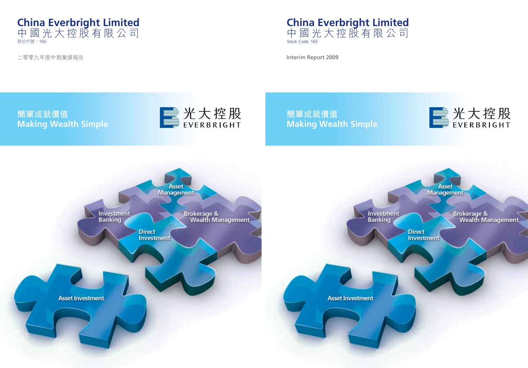

Interim Report 2009

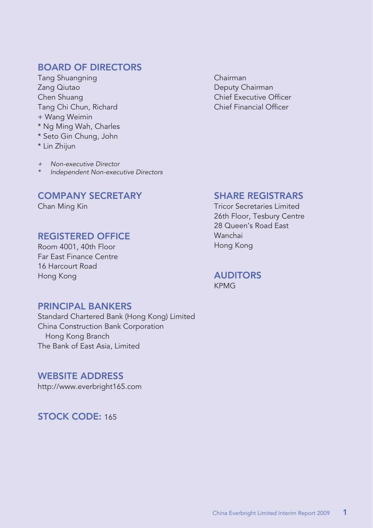### **BOARD OF DIRECTORS**

Tang Shuangning Chairman Zang Qiutao **Deputy Chairman** Chen Shuang Chief Executive Officer Tang Chi Chun, Richard + Wang Weimin \* Ng Ming Wah, Charles \* Seto Gin Chung, John

\* Lin Zhijun

+ Non-executive Director

Independent Non-executive Directors

### **COMPANY SECRETARY**

Chan Ming Kin

### **REGISTERED OFFICE**

Room 4001, 40th Floor Far East Finance Centre 16 Harcourt Road Hong Kong

### **PRINCIPAL BANKERS**

Standard Chartered Bank (Hong Kong) Limited China Construction Bank Corporation Hong Kong Branch The Bank of East Asia, Limited

### **WEBSITE ADDRESS**

http://www.everbright165.com

**STOCK CODE:** 165

### **SHARE REGISTRARS**

Tricor Secretaries Limited 26th Floor, Tesbury Centre 28 Queen's Road East Wanchai Hong Kong

**AUDITORS** KPMG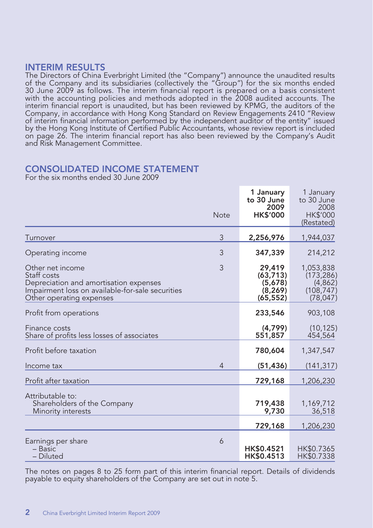### **INTERIM RESULTS**

The Directors of China Everbright Limited (the "Company") announce the unaudited results of the Company and its subsidiaries (collectively the "Group") for the six months ended 30 June 2009 as follows. The interim financial report is prepared on a basis consistent with the accounting policies and methods adopted in the 2008 audited accounts. The interim financial report is unaudited, but has been reviewed by KPMG, the auditors of the Company, in accordance with Hong Kong Standard on Review Engagements 2410 "Review of interim financial information performed by the independent auditor of the entity" issued by the Hong Kong Institute of Certified Public Accountants, whose review report is included on page 26. The interim financial report has also been reviewed by the Company's Audit and Risk Management Committee.

### **CONSOLIDATED INCOME STATEMENT**

For the six months ended 30 June 2009

|                                                                                                                                                           | <b>Note</b>    | 1 January<br>to 30 June<br>2009<br><b>HK\$'000</b>      | 1 January<br>to 30 June<br>2008<br><b>HK\$'000</b><br>(Restated) |
|-----------------------------------------------------------------------------------------------------------------------------------------------------------|----------------|---------------------------------------------------------|------------------------------------------------------------------|
| Turnover                                                                                                                                                  | 3              | 2,256,976                                               | 1,944,037                                                        |
| Operating income                                                                                                                                          | 3              | 347,339                                                 | 214,212                                                          |
| Other net income<br>Staff costs<br>Depreciation and amortisation expenses<br>Impairment loss on available-for-sale securities<br>Other operating expenses | 3              | 29,419<br>(63, 713)<br>(5,678)<br>(8, 269)<br>(65, 552) | 1,053,838<br>(173, 286)<br>(4,862)<br>(108, 747)<br>(78, 047)    |
| Profit from operations                                                                                                                                    |                | 233,546                                                 | 903,108                                                          |
| Finance costs<br>Share of profits less losses of associates                                                                                               |                | (4,799)<br>551,857                                      | (10, 125)<br>454,564                                             |
| Profit before taxation                                                                                                                                    |                | 780,604                                                 | 1,347,547                                                        |
| Income tax                                                                                                                                                | $\overline{4}$ | (51, 436)                                               | (141, 317)                                                       |
| Profit after taxation                                                                                                                                     |                | 729,168                                                 | 1,206,230                                                        |
| Attributable to:<br>Shareholders of the Company<br>Minority interests                                                                                     |                | 719,438<br>9,730                                        | 1,169,712<br>36,518                                              |
|                                                                                                                                                           |                | 729,168                                                 | 1,206,230                                                        |
| Earnings per share<br>- Basic<br>- Diluted                                                                                                                | 6              | HK\$0.4521<br>HK\$0.4513                                | HK\$0.7365<br>HK\$0.7338                                         |

The notes on pages 8 to 25 form part of this interim financial report. Details of dividends payable to equity shareholders of the Company are set out in note 5.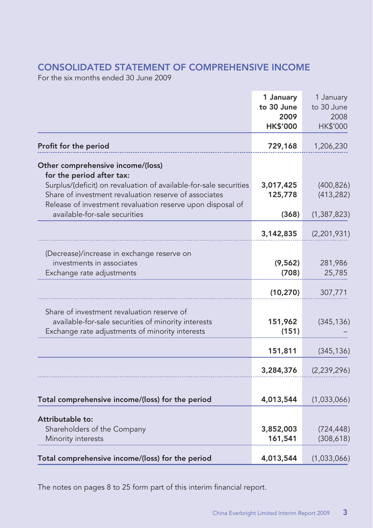### **CONSOLIDATED STATEMENT OF COMPREHENSIVE INCOME**

For the six months ended 30 June 2009

|                                                                                                                                                                                          | 1 January<br>to 30 June<br>2009<br><b>HK\$'000</b> | 1 January<br>to 30 June<br>2008<br>HK\$'000 |
|------------------------------------------------------------------------------------------------------------------------------------------------------------------------------------------|----------------------------------------------------|---------------------------------------------|
| Profit for the period                                                                                                                                                                    | 729,168                                            | 1,206,230                                   |
| Other comprehensive income/(loss)<br>for the period after tax:                                                                                                                           |                                                    |                                             |
| Surplus/(deficit) on revaluation of available-for-sale securities<br>Share of investment revaluation reserve of associates<br>Release of investment revaluation reserve upon disposal of | 3,017,425<br>125,778                               | (400, 826)<br>(413, 282)                    |
| available-for-sale securities                                                                                                                                                            | (368)                                              | (1, 387, 823)                               |
|                                                                                                                                                                                          | 3,142,835                                          | (2,201,931)                                 |
| (Decrease)/increase in exchange reserve on<br>investments in associates<br>Exchange rate adjustments                                                                                     | (9, 562)<br>(708)                                  | 281,986<br>25,785                           |
|                                                                                                                                                                                          | (10, 270)                                          | 307,771                                     |
| Share of investment revaluation reserve of<br>available-for-sale securities of minority interests<br>Exchange rate adjustments of minority interests                                     | 151,962<br>(151)                                   | (345, 136)                                  |
|                                                                                                                                                                                          | 151,811                                            | (345, 136)                                  |
|                                                                                                                                                                                          | 3,284,376                                          | (2, 239, 296)                               |
| Total comprehensive income/(loss) for the period                                                                                                                                         | 4,013,544                                          | (1,033,066)                                 |
| Attributable to:<br>Shareholders of the Company<br>Minority interests                                                                                                                    | 3,852,003<br>161,541                               | (724, 448)<br>(308, 618)                    |
| Total comprehensive income/(loss) for the period                                                                                                                                         | 4,013,544                                          | (1,033,066)                                 |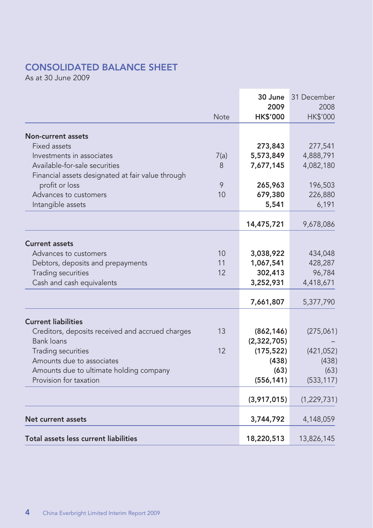### **CONSOLIDATED BALANCE SHEET**

As at 30 June 2009

|                                                   |             | 30 June              | 31 December        |
|---------------------------------------------------|-------------|----------------------|--------------------|
|                                                   |             | 2009                 | 2008               |
|                                                   | <b>Note</b> | <b>HK\$'000</b>      | <b>HK\$'000</b>    |
|                                                   |             |                      |                    |
| Non-current assets<br>Fixed assets                |             | 273,843              | 277,541            |
| Investments in associates                         | 7(a)        | 5,573,849            | 4,888,791          |
| Available-for-sale securities                     | 8           | 7,677,145            | 4,082,180          |
| Financial assets designated at fair value through |             |                      |                    |
| profit or loss                                    | 9           | 265,963              | 196,503            |
| Advances to customers                             | 10          | 679,380              | 226,880            |
| Intangible assets                                 |             | 5,541                | 6,191              |
|                                                   |             |                      |                    |
|                                                   |             | 14,475,721           | 9,678,086          |
|                                                   |             |                      |                    |
| <b>Current assets</b>                             |             |                      |                    |
| Advances to customers                             | 10<br>11    | 3,038,922            | 434,048<br>428,287 |
| Debtors, deposits and prepayments                 | 12          | 1,067,541<br>302,413 | 96.784             |
| Trading securities<br>Cash and cash equivalents   |             | 3,252,931            | 4,418,671          |
|                                                   |             |                      |                    |
|                                                   |             | 7,661,807            | 5,377,790          |
| <b>Current liabilities</b>                        |             |                      |                    |
| Creditors, deposits received and accrued charges  | 13          | (862, 146)           | (275,061)          |
| <b>Bank loans</b>                                 |             | (2,322,705)          |                    |
| Trading securities                                | 12          | (175, 522)           | (421, 052)         |
| Amounts due to associates                         |             | (438)                | (438)              |
| Amounts due to ultimate holding company           |             | (63)                 | (63)               |
| Provision for taxation                            |             | (556, 141)           | (533, 117)         |
|                                                   |             | (3,917,015)          | (1, 229, 731)      |
|                                                   |             |                      |                    |
| Net current assets                                |             | 3,744,792            | 4,148,059          |
| Total assets less current liabilities             |             | 18,220,513           | 13,826,145         |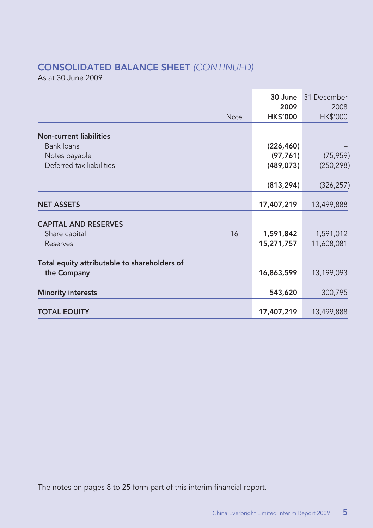## **CONSOLIDATED BALANCE SHEET** (CONTINUED)

As at 30 June 2009

|                                              | <b>Note</b> | 30 June<br>2009<br><b>HK\$'000</b> | 31 December<br>2008<br><b>HK\$'000</b> |
|----------------------------------------------|-------------|------------------------------------|----------------------------------------|
| <b>Non-current liabilities</b>               |             |                                    |                                        |
| Bank loans                                   |             | (226, 460)                         |                                        |
| Notes payable                                |             | (97, 761)                          | (75, 959)                              |
| Deferred tax liabilities                     |             | (489, 073)                         | (250, 298)                             |
|                                              |             | (813, 294)                         | (326, 257)                             |
| <b>NET ASSETS</b>                            |             | 17,407,219                         | 13,499,888                             |
| <b>CAPITAL AND RESERVES</b>                  |             |                                    |                                        |
| Share capital                                | 16          | 1,591,842                          | 1,591,012                              |
| Reserves                                     |             | 15,271,757                         | 11,608,081                             |
| Total equity attributable to shareholders of |             |                                    |                                        |
| the Company                                  |             | 16,863,599                         | 13,199,093                             |
| <b>Minority interests</b>                    |             | 543,620                            | 300,795                                |
| <b>TOTAL EQUITY</b>                          |             | 17,407,219                         | 13,499,888                             |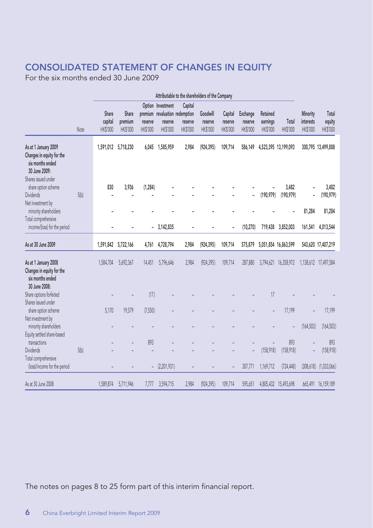### **CONSOLIDATED STATEMENT OF CHANGES IN EQUITY**

For the six months ended 30 June 2009

|                                                                                                                                      |      | Attributable to the shareholders of the Company |                              |                     |                                          |                                                                  |                                        |                                |                                 |                                  |                               |                                   |                             |
|--------------------------------------------------------------------------------------------------------------------------------------|------|-------------------------------------------------|------------------------------|---------------------|------------------------------------------|------------------------------------------------------------------|----------------------------------------|--------------------------------|---------------------------------|----------------------------------|-------------------------------|-----------------------------------|-----------------------------|
|                                                                                                                                      | Note | Share<br>capital<br><b>HK\$'000</b>             | Share<br>premium<br>HK\$'000 | reserve<br>HK\$'000 | Option Investment<br>reserve<br>HK\$'000 | Capital<br>premium revaluation redemption<br>reserve<br>HK\$'000 | Goodwill<br>reserve<br><b>HK\$'000</b> | Capital<br>reserve<br>HK\$'000 | Exchange<br>reserve<br>HK\$'000 | Retained<br>earnings<br>HK\$'000 | Total<br>HK\$'000             | Minority<br>interests<br>HK\$'000 | Total<br>equity<br>HK\$'000 |
| As at 1 January 2009<br>Changes in equity for the<br>six months ended<br>30 June 2009:<br>Shares issued under<br>share option scheme |      | 1,591,012<br>830                                | 5,718,230<br>3,936           | 6,045<br>(1, 284)   | 1,585,959                                | 2,984                                                            | (924, 395)                             | 109,714                        | 586,149                         |                                  | 4,523,395 13,199,093<br>3,482 |                                   | 300,795 13,499,888<br>3,482 |
| <b>Dividends</b>                                                                                                                     | 5(b) |                                                 |                              |                     |                                          |                                                                  |                                        |                                |                                 | (190, 979)                       | (190, 979)                    |                                   | (190, 979)                  |
| Net investment by<br>minority shareholders                                                                                           |      |                                                 |                              |                     |                                          |                                                                  |                                        |                                |                                 |                                  |                               | 81,284                            | 81,284                      |
| Total comprehensive<br>income/(loss) for the period                                                                                  |      |                                                 |                              |                     | $-3,142,835$                             |                                                                  |                                        |                                | (10, 270)                       | 719,438                          | 3,852,003                     | 161,541                           | 4,013,544                   |
| As at 30 June 2009                                                                                                                   |      | 1,591,842                                       | 5,722,166                    | 4,761               | 4,728,794                                | 2,984                                                            | (924, 395)                             | 109,714                        | 575,879                         |                                  | 5,051,854 16,863,599          |                                   | 543,620 17,407,219          |
| As at 1 January 2008<br>Changes in equity for the<br>six months ended<br>30 June 2008:                                               |      | 1,584,704                                       | 5,692,367                    | 14.451              | 5,796,646                                | 2,984                                                            | (924, 395)                             | 109,714                        | 287,880                         |                                  | 3,794,621 16,358,972          |                                   | 1,138,612 17,497,584        |
| Share options forfeited<br>Shares issued under                                                                                       |      |                                                 |                              | (17)                |                                          |                                                                  |                                        |                                |                                 | 17                               |                               |                                   |                             |
| share option scheme<br>Net investment by                                                                                             |      | 5,170                                           | 19,579                       | (7.550)             |                                          |                                                                  |                                        |                                |                                 |                                  | 17.199                        |                                   | 17,199                      |
| minority shareholders<br>Equity settled share-based                                                                                  |      |                                                 |                              |                     |                                          |                                                                  |                                        |                                |                                 |                                  |                               | (164, 503)                        | (164, 503)                  |
| transactions<br><b>Dividends</b>                                                                                                     | 5(b) |                                                 |                              | 893                 |                                          |                                                                  |                                        |                                |                                 | (158, 918)                       | 893                           |                                   | 893                         |
| Total comprehensive<br>(loss)/income for the period                                                                                  |      |                                                 |                              |                     | (2,201,931)                              |                                                                  |                                        |                                | 307,771                         | 1,169,712                        | (158, 918)<br>(724, 448)      | (308, 618)                        | (158, 918)<br>(1,033,066)   |
| As at 30 June 2008                                                                                                                   |      | 1,589,874                                       | 5,711,946                    | 7.777               | 3,594,715                                | 2,984                                                            | (924, 395)                             | 109,714                        | 595,651                         |                                  | 4,805,432 15,493,698          |                                   | 665,491 16,159,189          |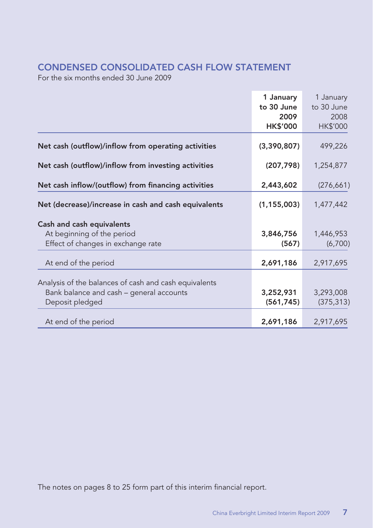### **CONDENSED CONSOLIDATED CASH FLOW STATEMENT**

For the six months ended 30 June 2009

|                                                       | 1 January          | 1 January          |
|-------------------------------------------------------|--------------------|--------------------|
|                                                       | to 30 June<br>2009 | to 30 June<br>2008 |
|                                                       | <b>HK\$'000</b>    | HK\$'000           |
| Net cash (outflow)/inflow from operating activities   | (3,390,807)        | 499,226            |
| Net cash (outflow)/inflow from investing activities   | (207, 798)         | 1,254,877          |
| Net cash inflow/(outflow) from financing activities   | 2,443,602          | (276, 661)         |
| Net (decrease)/increase in cash and cash equivalents  | (1, 155, 003)      | 1,477,442          |
| Cash and cash equivalents                             |                    |                    |
| At beginning of the period                            | 3,846,756          | 1,446,953          |
| Effect of changes in exchange rate                    | (567)              | (6,700)            |
| At end of the period                                  | 2,691,186          | 2,917,695          |
| Analysis of the balances of cash and cash equivalents |                    |                    |
| Bank balance and cash - general accounts              | 3,252,931          | 3,293,008          |
| Deposit pledged                                       | (561, 745)         | (375, 313)         |
| At end of the period                                  | 2,691,186          | 2,917,695          |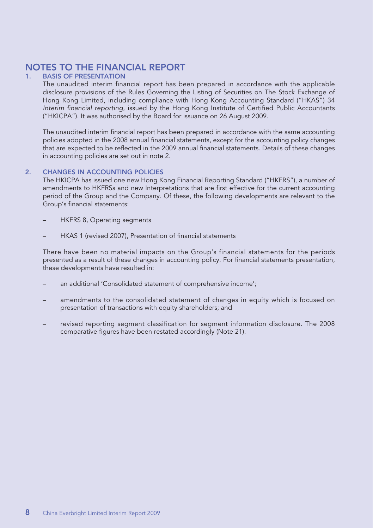# **NOTES TO THE FINANCIAL REPORT**

#### **1. BASIS OF PRESENTATION**

The unaudited interim financial report has been prepared in accordance with the applicable disclosure provisions of the Rules Governing the Listing of Securities on The Stock Exchange of Hong Kong Limited, including compliance with Hong Kong Accounting Standard ("HKAS") 34 Interim financial reporting, issued by the Hong Kong Institute of Certified Public Accountants ("HKICPA"). It was authorised by the Board for issuance on 26 August 2009.

The unaudited interim financial report has been prepared in accordance with the same accounting policies adopted in the 2008 annual financial statements, except for the accounting policy changes that are expected to be reflected in the 2009 annual financial statements. Details of these changes in accounting policies are set out in note 2.

#### **2. CHANGES IN ACCOUNTING POLICIES**

The HKICPA has issued one new Hong Kong Financial Reporting Standard ("HKFRS"), a number of amendments to HKFRSs and new Interpretations that are first effective for the current accounting period of the Group and the Company. Of these, the following developments are relevant to the Group's financial statements:

- HKFRS 8, Operating segments
- HKAS 1 (revised 2007), Presentation of financial statements

There have been no material impacts on the Group's financial statements for the periods presented as a result of these changes in accounting policy. For financial statements presentation, these developments have resulted in:

- an additional 'Consolidated statement of comprehensive income';
- amendments to the consolidated statement of changes in equity which is focused on presentation of transactions with equity shareholders; and
- revised reporting segment classification for segment information disclosure. The 2008 comparative figures have been restated accordingly (Note 21).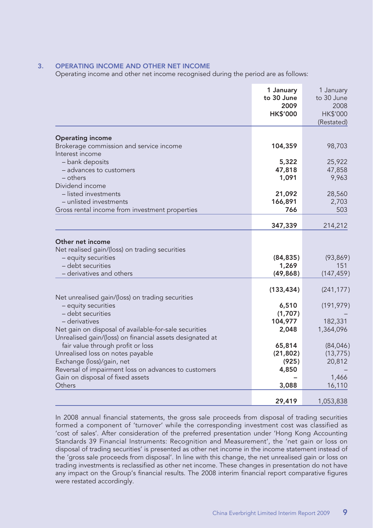#### **3. OPERATING INCOME AND OTHER NET INCOME**

Operating income and other net income recognised during the period are as follows:

|                                                                                                                                                                                                                                                                      | 1 January<br>to 30 June<br>2009<br><b>HK\$'000</b> | 1 January<br>to 30 June<br>2008<br>HK\$'000<br>(Restated) |
|----------------------------------------------------------------------------------------------------------------------------------------------------------------------------------------------------------------------------------------------------------------------|----------------------------------------------------|-----------------------------------------------------------|
| <b>Operating income</b>                                                                                                                                                                                                                                              |                                                    |                                                           |
| Brokerage commission and service income                                                                                                                                                                                                                              | 104,359                                            | 98,703                                                    |
| Interest income                                                                                                                                                                                                                                                      |                                                    |                                                           |
| - bank deposits                                                                                                                                                                                                                                                      | 5,322                                              | 25,922                                                    |
| - advances to customers                                                                                                                                                                                                                                              | 47,818                                             | 47,858                                                    |
| - others<br>Dividend income                                                                                                                                                                                                                                          | 1,091                                              | 9,963                                                     |
| - listed investments                                                                                                                                                                                                                                                 | 21,092                                             | 28,560                                                    |
| - unlisted investments                                                                                                                                                                                                                                               | 166,891                                            | 2,703                                                     |
| Gross rental income from investment properties                                                                                                                                                                                                                       | 766                                                | 503                                                       |
|                                                                                                                                                                                                                                                                      | 347,339                                            | 214,212                                                   |
| Other net income<br>Net realised gain/(loss) on trading securities<br>- equity securities<br>- debt securities<br>- derivatives and others                                                                                                                           | (84, 835)<br>1,269<br>(49, 868)                    | (93, 869)<br>151<br>(147, 459)                            |
|                                                                                                                                                                                                                                                                      | (133, 434)                                         | (241, 177)                                                |
| Net unrealised gain/(loss) on trading securities<br>- equity securities<br>- debt securities<br>– derivatives<br>Net gain on disposal of available-for-sale securities                                                                                               | 6,510<br>(1,707)<br>104,977<br>2,048               | (191, 979)<br>182,331<br>1,364,096                        |
| Unrealised gain/(loss) on financial assets designated at<br>fair value through profit or loss<br>Unrealised loss on notes payable<br>Exchange (loss)/gain, net<br>Reversal of impairment loss on advances to customers<br>Gain on disposal of fixed assets<br>Others | 65,814<br>(21, 802)<br>(925)<br>4,850<br>3,088     | (84,046)<br>(13, 775)<br>20,812<br>1,466<br>16,110        |
|                                                                                                                                                                                                                                                                      | 29,419                                             | 1,053,838                                                 |

In 2008 annual financial statements, the gross sale proceeds from disposal of trading securities formed a component of 'turnover' while the corresponding investment cost was classified as 'cost of sales'. After consideration of the preferred presentation under 'Hong Kong Accounting Standards 39 Financial Instruments: Recognition and Measurement', the 'net gain or loss on disposal of trading securities' is presented as other net income in the income statement instead of the 'gross sale proceeds from disposal'. In line with this change, the net unrealised gain or loss on trading investments is reclassified as other net income. These changes in presentation do not have any impact on the Group's financial results. The 2008 interim financial report comparative figures were restated accordingly.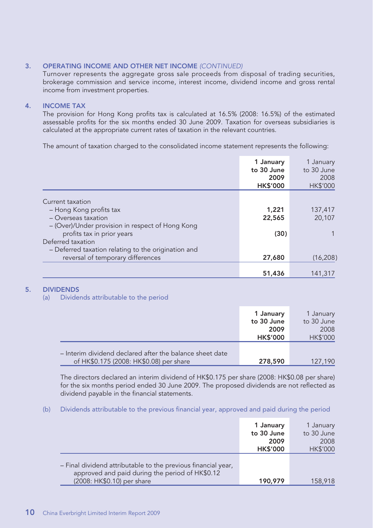#### **3. OPERATING INCOME AND OTHER NET INCOME** (CONTINUED)

Turnover represents the aggregate gross sale proceeds from disposal of trading securities, brokerage commission and service income, interest income, dividend income and gross rental income from investment properties.

#### **4. INCOME TAX**

The provision for Hong Kong profits tax is calculated at 16.5% (2008: 16.5%) of the estimated assessable profits for the six months ended 30 June 2009. Taxation for overseas subsidiaries is calculated at the appropriate current rates of taxation in the relevant countries.

The amount of taxation charged to the consolidated income statement represents the following:

|                                                     | 1 January<br>to 30 June<br>2009<br><b>HK\$'000</b> | 1 January<br>to 30 June<br>2008<br>HK\$'000 |
|-----------------------------------------------------|----------------------------------------------------|---------------------------------------------|
|                                                     |                                                    |                                             |
| Current taxation                                    |                                                    |                                             |
| - Hong Kong profits tax                             | 1,221                                              | 137,417                                     |
| - Overseas taxation                                 | 22,565                                             | 20.107                                      |
| - (Over)/Under provision in respect of Hong Kong    |                                                    |                                             |
| profits tax in prior years                          | (30)                                               |                                             |
| Deferred taxation                                   |                                                    |                                             |
| - Deferred taxation relating to the origination and |                                                    |                                             |
| reversal of temporary differences                   | 27,680                                             | (16, 208)                                   |
|                                                     |                                                    |                                             |
|                                                     | 51,436                                             | 141,317                                     |

#### **5. DIVIDENDS**

(a) Dividends attributable to the period

|                                                                                                     | 1 January<br>to 30 June<br>2009<br><b>HK\$'000</b> | 1 January<br>to 30 June<br>2008<br><b>HK\$'000</b> |
|-----------------------------------------------------------------------------------------------------|----------------------------------------------------|----------------------------------------------------|
| - Interim dividend declared after the balance sheet date<br>of HK\$0.175 (2008: HK\$0.08) per share | 278,590                                            | 127,190                                            |

The directors declared an interim dividend of HK\$0.175 per share (2008: HK\$0.08 per share) for the six months period ended 30 June 2009. The proposed dividends are not reflected as dividend payable in the financial statements.

(b) Dividends attributable to the previous financial year, approved and paid during the period

|                                                                                                                                                | 1 January<br>to 30 June<br>2009<br><b>HK\$'000</b> | 1 January<br>to 30 June<br>2008<br><b>HK\$'000</b> |
|------------------------------------------------------------------------------------------------------------------------------------------------|----------------------------------------------------|----------------------------------------------------|
| - Final dividend attributable to the previous financial year,<br>approved and paid during the period of HK\$0.12<br>(2008: HK\$0.10) per share | 190,979                                            | 158,918                                            |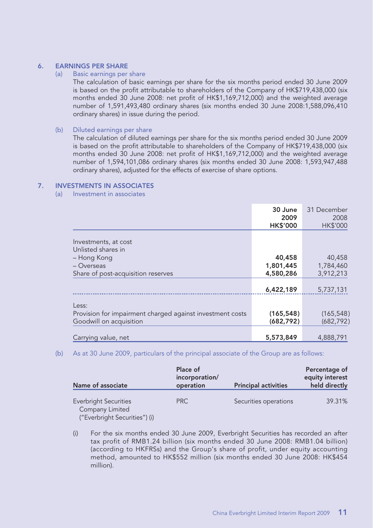## **6. EARNINGS PER SHARE**<br>(a) Basic earnings per

#### Basic earnings per share

The calculation of basic earnings per share for the six months period ended 30 June 2009 is based on the profit attributable to shareholders of the Company of HK\$719,438,000 (six months ended 30 June 2008: net profit of HK\$1,169,712,000) and the weighted average number of 1,591,493,480 ordinary shares (six months ended 30 June 2008:1,588,096,410 ordinary shares) in issue during the period.

#### (b) Diluted earnings per share

The calculation of diluted earnings per share for the six months period ended 30 June 2009 is based on the profit attributable to shareholders of the Company of HK\$719,438,000 (six months ended 30 June 2008: net profit of HK\$1,169,712,000) and the weighted average number of 1,594,101,086 ordinary shares (six months ended 30 June 2008: 1,593,947,488 ordinary shares), adjusted for the effects of exercise of share options.

#### **7. INVESTMENTS IN ASSOCIATES**

#### (a) Investment in associates

|                                                                                               | 30 June<br>2009<br><b>HK\$'000</b> | 31 December<br>2008<br>HK\$'000  |
|-----------------------------------------------------------------------------------------------|------------------------------------|----------------------------------|
| Investments, at cost<br>Unlisted shares in                                                    |                                    |                                  |
| – Hong Kong<br>- Overseas                                                                     | 40,458<br>1,801,445<br>4,580,286   | 40,458<br>1,784,460<br>3,912,213 |
| Share of post-acquisition reserves                                                            | 6,422,189                          | 5,737,131                        |
| Less:<br>Provision for impairment charged against investment costs<br>Goodwill on acquisition | (165, 548)<br>(682, 792)           | (165, 548)<br>(682, 792)         |
| Carrying value, net                                                                           | 5,573,849                          | 4.888.791                        |

#### (b) As at 30 June 2009, particulars of the principal associate of the Group are as follows:

| Name of associate                                                                | Place of<br>incorporation/<br>operation | <b>Principal activities</b> | Percentage of<br>equity interest<br>held directly |
|----------------------------------------------------------------------------------|-----------------------------------------|-----------------------------|---------------------------------------------------|
| <b>Everbright Securities</b><br>Company Limited<br>("Everbright Securities") (i) | PRC                                     | Securities operations       | 39.31%                                            |

(i) For the six months ended 30 June 2009, Everbright Securities has recorded an after tax profit of RMB1.24 billion (six months ended 30 June 2008: RMB1.04 billion) (according to HKFRSs) and the Group's share of profit, under equity accounting method, amounted to HK\$552 million (six months ended 30 June 2008: HK\$454 million).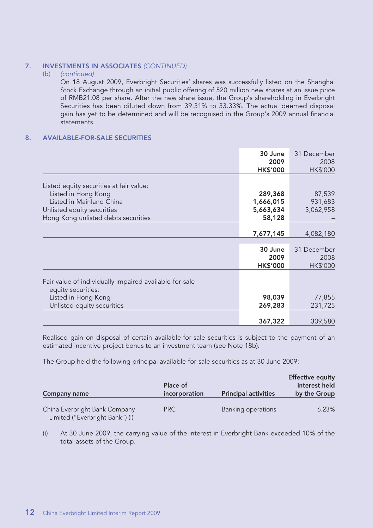#### **7. INVESTMENTS IN ASSOCIATES** (CONTINUED)

#### (b) (continued)

On 18 August 2009, Everbright Securities' shares was successfully listed on the Shanghai Stock Exchange through an initial public offering of 520 million new shares at an issue price of RMB21.08 per share. After the new share issue, the Group's shareholding in Everbright Securities has been diluted down from 39.31% to 33.33%. The actual deemed disposal gain has yet to be determined and will be recognised in the Group's 2009 annual financial statements.

#### **8. AVAILABLE-FOR-SALE SECURITIES**

|                                                                                                                                                                 | 30 June<br>2009<br><b>HK\$'000</b>          | 31 December<br>2008<br><b>HK\$'000</b> |
|-----------------------------------------------------------------------------------------------------------------------------------------------------------------|---------------------------------------------|----------------------------------------|
| Listed equity securities at fair value:<br>Listed in Hong Kong<br>Listed in Mainland China<br>Unlisted equity securities<br>Hong Kong unlisted debts securities | 289,368<br>1,666,015<br>5,663,634<br>58,128 | 87,539<br>931,683<br>3,062,958         |
|                                                                                                                                                                 | 7,677,145                                   | 4,082,180                              |
|                                                                                                                                                                 | 30 June<br>2009<br><b>HK\$'000</b>          | 31 December<br>2008<br><b>HK\$'000</b> |
| Fair value of individually impaired available-for-sale<br>equity securities:                                                                                    |                                             |                                        |
| Listed in Hong Kong<br>Unlisted equity securities                                                                                                               | 98,039<br>269,283                           | 77,855<br>231,725                      |
|                                                                                                                                                                 | 367,322                                     | 309,580                                |

Realised gain on disposal of certain available-for-sale securities is subject to the payment of an estimated incentive project bonus to an investment team (see Note 18b).

The Group held the following principal available-for-sale securities as at 30 June 2009:

| <b>Company name</b>                                              | Place of<br>incorporation | <b>Principal activities</b> | <b>Effective equity</b><br>interest held<br>by the Group |
|------------------------------------------------------------------|---------------------------|-----------------------------|----------------------------------------------------------|
| China Everbright Bank Company<br>Limited ("Everbright Bank") (i) | PRC                       | Banking operations          | 6.23%                                                    |

(i) At 30 June 2009, the carrying value of the interest in Everbright Bank exceeded 10% of the total assets of the Group.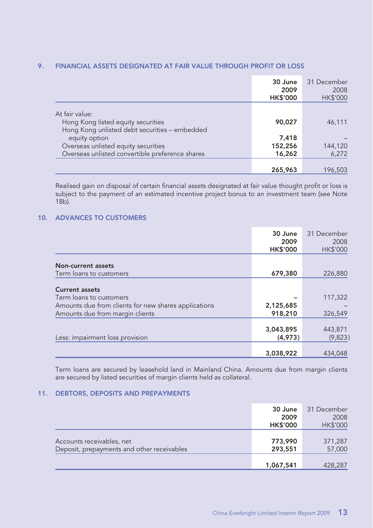### **9. FINANCIAL ASSETS DESIGNATED AT FAIR VALUE THROUGH PROFIT OR LOSS**

|                                                                                        | 30 June<br>2009<br><b>HK\$'000</b> | 31 December<br>2008<br><b>HK\$'000</b> |
|----------------------------------------------------------------------------------------|------------------------------------|----------------------------------------|
| At fair value:<br>Hong Kong listed equity securities                                   | 90,027                             | 46,111                                 |
| Hong Kong unlisted debt securities - embedded<br>equity option                         | 7,418                              |                                        |
| Overseas unlisted equity securities<br>Overseas unlisted convertible preference shares | 152,256<br>16,262                  | 144,120<br>6,272                       |
|                                                                                        | 265,963                            | 196,503                                |

Realised gain on disposal of certain financial assets designated at fair value thought profit or loss is subject to the payment of an estimated incentive project bonus to an investment team (see Note 18b).

#### **10. ADVANCES TO CUSTOMERS**

|                                                      | 30 June                 | 31 December             |
|------------------------------------------------------|-------------------------|-------------------------|
|                                                      | 2009<br><b>HK\$'000</b> | 2008<br><b>HK\$'000</b> |
|                                                      |                         |                         |
| Non-current assets                                   |                         |                         |
| Term loans to customers                              | 679,380                 | 226,880                 |
| <b>Current assets</b>                                |                         |                         |
| Term loans to customers                              |                         | 117,322                 |
| Amounts due from clients for new shares applications | 2,125,685               |                         |
| Amounts due from margin clients                      | 918,210                 | 326,549                 |
|                                                      |                         |                         |
|                                                      | 3,043,895               | 443,871                 |
| Less: impairment loss provision                      | (4,973)                 | (9,823)                 |
|                                                      |                         |                         |
|                                                      | 3,038,922               | 434,048                 |

Term loans are secured by leasehold land in Mainland China. Amounts due from margin clients are secured by listed securities of margin clients held as collateral.

#### **11. DEBTORS, DEPOSITS AND PREPAYMENTS**

|                                                                         | 30 June<br>2009<br><b>HK\$'000</b> | 31 December<br>2008<br>HK\$'000 |
|-------------------------------------------------------------------------|------------------------------------|---------------------------------|
| Accounts receivables, net<br>Deposit, prepayments and other receivables | 773,990<br>293,551                 | 371,287<br>57,000               |
|                                                                         | 1,067,541                          | 428,287                         |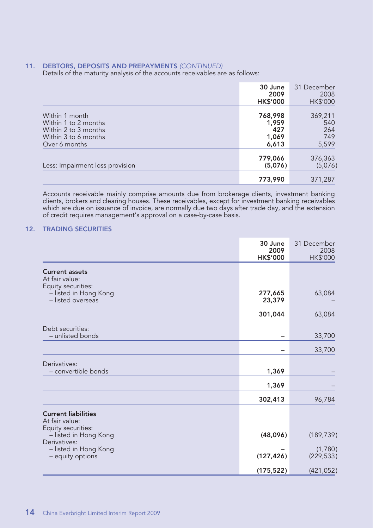**11. DEBTORS, DEPOSITS AND PREPAYMENTS** (CONTINUED) Details of the maturity analysis of the accounts receivables are as follows:

|                                                                                                         | 30 June<br>2009<br><b>HK\$'000</b>        | 31 December<br>2008<br>HK\$'000       |
|---------------------------------------------------------------------------------------------------------|-------------------------------------------|---------------------------------------|
| Within 1 month<br>Within 1 to 2 months<br>Within 2 to 3 months<br>Within 3 to 6 months<br>Over 6 months | 768,998<br>1,959<br>427<br>1,069<br>6,613 | 369,211<br>540<br>264<br>749<br>5,599 |
| Less: Impairment loss provision                                                                         | 779,066<br>(5,076)                        | 376,363<br>(5,076)                    |
|                                                                                                         | 773,990                                   | 371,287                               |

Accounts receivable mainly comprise amounts due from brokerage clients, investment banking clients, brokers and clearing houses. These receivables, except for investment banking receivables which are due on issuance of invoice, are normally due two days after trade day, and the extension of credit requires management's approval on a case-by-case basis.

#### **12. TRADING SECURITIES**

|                                                               | 30 June<br>2009<br><b>HK\$'000</b> | 31 December<br>2008<br>HK\$'000 |
|---------------------------------------------------------------|------------------------------------|---------------------------------|
| <b>Current assets</b><br>At fair value:<br>Equity securities: |                                    |                                 |
| - listed in Hong Kong<br>- listed overseas                    | 277,665<br>23,379                  | 63,084                          |
|                                                               | 301,044                            | 63,084                          |
| Debt securities:<br>- unlisted bonds                          |                                    | 33,700                          |
|                                                               |                                    | 33,700                          |
| Derivatives:<br>- convertible bonds                           | 1,369                              |                                 |
|                                                               | 1,369                              |                                 |
|                                                               | 302,413                            | 96,784                          |
| <b>Current liabilities</b><br>At fair value:                  |                                    |                                 |
| Equity securities:<br>- listed in Hong Kong                   | (48,096)                           | (189, 739)                      |
| Derivatives:<br>- listed in Hong Kong<br>- equity options     | (127, 426)                         | (1,780)<br>(229, 533)           |
|                                                               | (175, 522)                         | (421, 052)                      |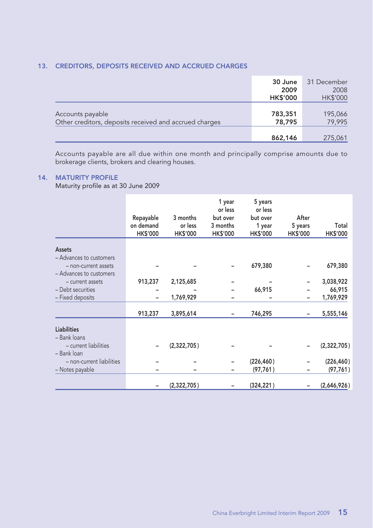#### **13. CREDITORS, DEPOSITS RECEIVED AND ACCRUED CHARGES**

|                                                                            | 30 June<br>2009<br><b>HK\$'000</b> | 31 December<br>2008<br><b>HK\$'000</b> |
|----------------------------------------------------------------------------|------------------------------------|----------------------------------------|
| Accounts payable<br>Other creditors, deposits received and accrued charges | 783,351<br>78,795                  | 195,066<br>79,995                      |
|                                                                            | 862,146                            | 275,061                                |

Accounts payable are all due within one month and principally comprise amounts due to brokerage clients, brokers and clearing houses.

#### **14. MATURITY PROFILE**

Maturity profile as at 30 June 2009

|                           | Repayable<br>on demand<br>HK\$'000 | 3 months<br>or less<br><b>HK\$'000</b> | 1 year<br>or less<br>but over<br>3 months<br><b>HK\$'000</b> | 5 years<br>or less<br>but over<br>1 year<br><b>HK\$'000</b> | After<br>5 years<br><b>HK\$'000</b> | Total<br><b>HK\$'000</b> |
|---------------------------|------------------------------------|----------------------------------------|--------------------------------------------------------------|-------------------------------------------------------------|-------------------------------------|--------------------------|
| Assets                    |                                    |                                        |                                                              |                                                             |                                     |                          |
| - Advances to customers   |                                    |                                        |                                                              |                                                             |                                     |                          |
| - non-current assets      |                                    |                                        |                                                              | 679,380                                                     |                                     | 679,380                  |
| - Advances to customers   |                                    |                                        |                                                              |                                                             |                                     |                          |
| - current assets          | 913,237                            | 2,125,685                              |                                                              |                                                             |                                     | 3,038,922                |
| - Debt securities         |                                    |                                        |                                                              | 66,915                                                      |                                     | 66,915                   |
| - Fixed deposits          |                                    | 1,769,929                              |                                                              |                                                             | -                                   | 1,769,929                |
|                           | 913,237                            | 3,895,614                              |                                                              | 746,295                                                     |                                     | 5,555,146                |
| <b>Liabilities</b>        |                                    |                                        |                                                              |                                                             |                                     |                          |
| - Bank loans              |                                    |                                        |                                                              |                                                             |                                     |                          |
| - current liabilities     |                                    | (2,322,705)                            |                                                              |                                                             |                                     | (2,322,705)              |
| - Bank loan               |                                    |                                        |                                                              |                                                             |                                     |                          |
| - non-current liabilities |                                    |                                        |                                                              | (226, 460)                                                  |                                     | (226, 460)               |
| - Notes payable           |                                    |                                        |                                                              | (97, 761)                                                   |                                     | (97, 761)                |
|                           |                                    | (2,322,705)                            |                                                              | (324, 221)                                                  |                                     | (2,646,926)              |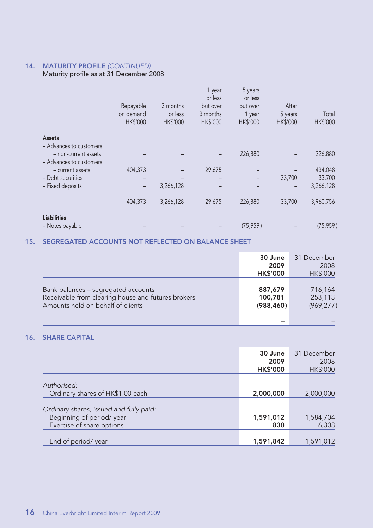### **14. MATURITY PROFILE** (CONTINUED)

### Maturity profile as at 31 December 2008

|                         | Repayable<br>on demand<br><b>HK\$'000</b> | 3 months<br>or less<br><b>HK\$'000</b> | 1 year<br>or less<br>but over<br>3 months<br><b>HK\$'000</b> | 5 years<br>or less<br>but over<br>1 year<br><b>HK\$'000</b> | After<br>5 years<br><b>HK\$'000</b> | Total<br><b>HK\$'000</b> |
|-------------------------|-------------------------------------------|----------------------------------------|--------------------------------------------------------------|-------------------------------------------------------------|-------------------------------------|--------------------------|
| Assets                  |                                           |                                        |                                                              |                                                             |                                     |                          |
| - Advances to customers |                                           |                                        |                                                              |                                                             |                                     |                          |
| - non-current assets    |                                           |                                        |                                                              | 226,880                                                     |                                     | 226,880                  |
| - Advances to customers |                                           |                                        |                                                              |                                                             |                                     |                          |
| - current assets        | 404,373                                   |                                        | 29,675                                                       |                                                             |                                     | 434,048                  |
| - Debt securities       | -                                         |                                        |                                                              |                                                             | 33,700                              | 33,700                   |
| - Fixed deposits        | $\qquad \qquad -$                         | 3,266,128                              | -                                                            |                                                             |                                     | 3,266,128                |
|                         |                                           |                                        |                                                              |                                                             |                                     |                          |
|                         | 404,373                                   | 3,266,128                              | 29,675                                                       | 226,880                                                     | 33,700                              | 3,960,756                |
|                         |                                           |                                        |                                                              |                                                             |                                     |                          |
| <b>Liabilities</b>      |                                           |                                        |                                                              |                                                             |                                     |                          |
| - Notes payable         |                                           |                                        |                                                              | (75, 959)                                                   |                                     | (75, 959)                |

#### **15. SEGREGATED ACCOUNTS NOT REFLECTED ON BALANCE SHEET**

|                                                                                                                                | 30 June<br>2009<br><b>HK\$'000</b> | 31 December<br>2008<br><b>HK\$'000</b> |
|--------------------------------------------------------------------------------------------------------------------------------|------------------------------------|----------------------------------------|
| Bank balances - segregated accounts<br>Receivable from clearing house and futures brokers<br>Amounts held on behalf of clients | 887.679<br>100,781<br>(988, 460)   | 716,164<br>253,113<br>(969, 277)       |
|                                                                                                                                |                                    |                                        |

### **16. SHARE CAPITAL**

|                                         | 30 June<br>2009<br><b>HK\$'000</b> | 31 December<br>2008<br><b>HK\$'000</b> |
|-----------------------------------------|------------------------------------|----------------------------------------|
| Authorised:                             |                                    |                                        |
| Ordinary shares of HK\$1.00 each        | 2,000,000                          | 2,000,000                              |
| Ordinary shares, issued and fully paid: |                                    |                                        |
| Beginning of period/year                | 1,591,012                          | 1,584,704                              |
| Exercise of share options               | 830                                | 6,308                                  |
| End of period/ year                     | 1,591,842                          | 1,591,012                              |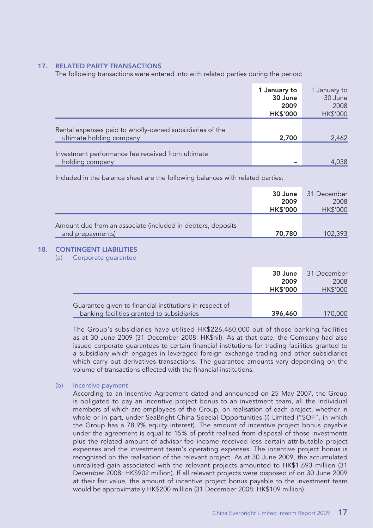#### **17. RELATED PARTY TRANSACTIONS**

The following transactions were entered into with related parties during the period:

|                                                                                      | 1 January to<br>30 June | 1 January to<br>30 June |
|--------------------------------------------------------------------------------------|-------------------------|-------------------------|
|                                                                                      | 2009<br><b>HK\$'000</b> | 2008<br>HK\$'000        |
| Rental expenses paid to wholly-owned subsidiaries of the<br>ultimate holding company | 2,700                   | 2,462                   |
| Investment performance fee received from ultimate<br>holding company                 |                         | 4,038                   |

Included in the balance sheet are the following balances with related parties:

|                                                                                 | 30 June<br>2009<br><b>HK\$'000</b> | 31 December<br>2008<br><b>HK\$'000</b> |
|---------------------------------------------------------------------------------|------------------------------------|----------------------------------------|
| Amount due from an associate (included in debtors, deposits<br>and prepayments) | 70,780                             | 102,393                                |

#### **18. CONTINGENT LIABILITIES**

(a) Corporate guarantee

|                                                                                                       | 30 June<br>2009<br><b>HK\$'000</b> | 31 December<br>2008<br><b>HK\$'000</b> |
|-------------------------------------------------------------------------------------------------------|------------------------------------|----------------------------------------|
| Guarantee given to financial institutions in respect of<br>banking facilities granted to subsidiaries | 396,460                            | 170,000                                |

The Group's subsidiaries have utilised HK\$226,460,000 out of those banking facilities as at 30 June 2009 (31 December 2008: HK\$nil). As at that date, the Company had also issued corporate guarantees to certain financial institutions for trading facilities granted to a subsidiary which engages in leveraged foreign exchange trading and other subsidiaries which carry out derivatives transactions. The guarantee amounts vary depending on the volume of transactions effected with the financial institutions.

#### (b) Incentive payment

According to an Incentive Agreement dated and announced on 25 May 2007, the Group is obligated to pay an incentive project bonus to an investment team, all the individual members of which are employees of the Group, on realisation of each project, whether in whole or in part, under SeaBright China Special Opportunities (I) Limited ("SOF", in which the Group has a 78.9% equity interest). The amount of incentive project bonus payable under the agreement is equal to 15% of profit realised from disposal of those investments plus the related amount of advisor fee income received less certain attributable project expenses and the investment team's operating expenses. The incentive project bonus is recognised on the realisation of the relevant project. As at 30 June 2009, the accumulated unrealised gain associated with the relevant projects amounted to HK\$1,693 million (31 December 2008: HK\$902 million). If all relevant projects were disposed of on 30 June 2009 at their fair value, the amount of incentive project bonus payable to the investment team would be approximately HK\$200 million (31 December 2008: HK\$109 million).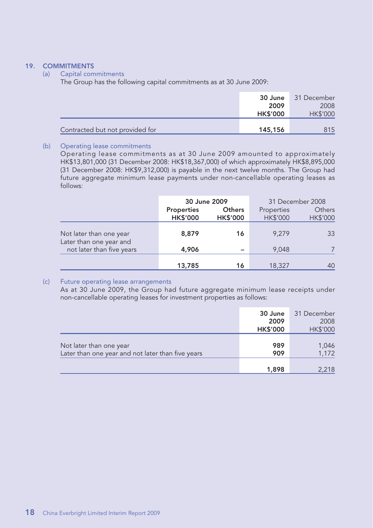#### **19. COMMITMENTS**

#### (a) Capital commitments

The Group has the following capital commitments as at 30 June 2009:

|                                 | 30 June         | 31 December     |
|---------------------------------|-----------------|-----------------|
|                                 | 2009            | 2008            |
|                                 | <b>HK\$'000</b> | <b>HK\$'000</b> |
|                                 |                 |                 |
| Contracted but not provided for | 145,156         | 815             |

#### (b) Operating lease commitments

Operating lease commitments as at 30 June 2009 amounted to approximately HK\$13,801,000 (31 December 2008: HK\$18,367,000) of which approximately HK\$8,895,000 (31 December 2008: HK\$9,312,000) is payable in the next twelve months. The Group had future aggregate minimum lease payments under non-cancellable operating leases as follows:

|                                                    |                               | 30 June 2009              | 31 December 2008              |                           |  |  |
|----------------------------------------------------|-------------------------------|---------------------------|-------------------------------|---------------------------|--|--|
|                                                    | Properties<br><b>HK\$'000</b> | Others<br><b>HK\$'000</b> | Properties<br><b>HK\$'000</b> | Others<br><b>HK\$'000</b> |  |  |
| Not later than one year<br>Later than one year and | 8,879                         | 16                        | 9.279                         | 33                        |  |  |
| not later than five years                          | 4.906                         |                           | 9.048                         |                           |  |  |
|                                                    | 13,785                        | 16                        | 18,327                        | 40                        |  |  |

#### (c) Future operating lease arrangements

As at 30 June 2009, the Group had future aggregate minimum lease receipts under non-cancellable operating leases for investment properties as follows:

|                                                                              | 30 June<br>2009<br><b>HK\$'000</b> | 31 December<br>2008<br>HK\$'000 |
|------------------------------------------------------------------------------|------------------------------------|---------------------------------|
| Not later than one year<br>Later than one year and not later than five years | 989<br>909                         | 1,046<br>1,172                  |
|                                                                              | 1,898                              | 2,218                           |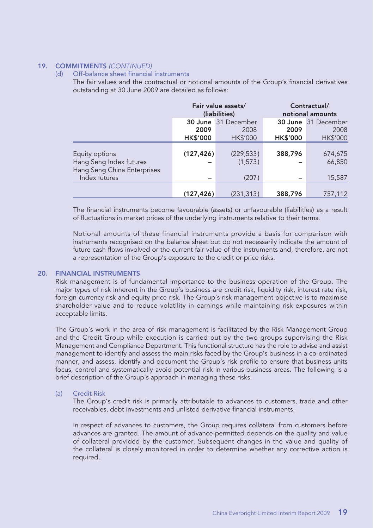#### **19. COMMITMENTS** (CONTINUED)

#### (d) Off-balance sheet financial instruments

The fair values and the contractual or notional amounts of the Group's financial derivatives outstanding at 30 June 2009 are detailed as follows:

|                                                                          |                 | Fair value assets/<br>(liabilities) |                 | Contractual/<br>notional amounts |  |
|--------------------------------------------------------------------------|-----------------|-------------------------------------|-----------------|----------------------------------|--|
|                                                                          |                 | 30 June 31 December                 |                 | 30 June 31 December              |  |
|                                                                          | 2009            | 2008                                | 2009            | 2008                             |  |
|                                                                          | <b>HK\$'000</b> | HK\$'000                            | <b>HK\$'000</b> | HK\$'000                         |  |
| Equity options<br>Hang Seng Index futures<br>Hang Seng China Enterprises | (127, 426)      | (229, 533)<br>(1, 573)              | 388,796         | 674,675<br>66,850                |  |
| Index futures                                                            |                 | (207)                               |                 | 15,587                           |  |
|                                                                          | (127, 426)      | (231, 313)                          | 388,796         | 757,112                          |  |

The financial instruments become favourable (assets) or unfavourable (liabilities) as a result of fluctuations in market prices of the underlying instruments relative to their terms.

Notional amounts of these financial instruments provide a basis for comparison with instruments recognised on the balance sheet but do not necessarily indicate the amount of future cash flows involved or the current fair value of the instruments and, therefore, are not a representation of the Group's exposure to the credit or price risks.

#### **20. FINANCIAL INSTRUMENTS**

Risk management is of fundamental importance to the business operation of the Group. The major types of risk inherent in the Group's business are credit risk, liquidity risk, interest rate risk, foreign currency risk and equity price risk. The Group's risk management objective is to maximise shareholder value and to reduce volatility in earnings while maintaining risk exposures within acceptable limits.

The Group's work in the area of risk management is facilitated by the Risk Management Group and the Credit Group while execution is carried out by the two groups supervising the Risk Management and Compliance Department. This functional structure has the role to advise and assist management to identify and assess the main risks faced by the Group's business in a co-ordinated manner, and assess, identify and document the Group's risk profile to ensure that business units focus, control and systematically avoid potential risk in various business areas. The following is a brief description of the Group's approach in managing these risks.

#### (a) Credit Risk

The Group's credit risk is primarily attributable to advances to customers, trade and other receivables, debt investments and unlisted derivative financial instruments.

In respect of advances to customers, the Group requires collateral from customers before advances are granted. The amount of advance permitted depends on the quality and value of collateral provided by the customer. Subsequent changes in the value and quality of the collateral is closely monitored in order to determine whether any corrective action is required.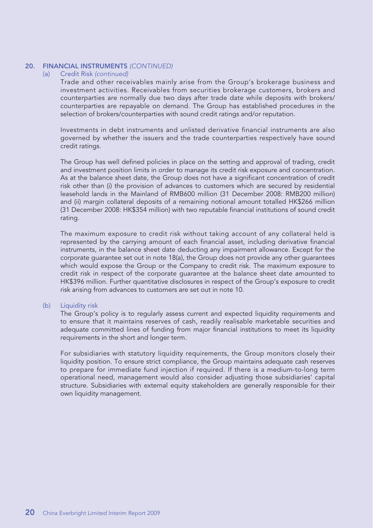#### **20. FINANCIAL INSTRUMENTS** (CONTINUED)

#### (a) Credit Risk (continued)

Trade and other receivables mainly arise from the Group's brokerage business and investment activities. Receivables from securities brokerage customers, brokers and counterparties are normally due two days after trade date while deposits with brokers/ counterparties are repayable on demand. The Group has established procedures in the selection of brokers/counterparties with sound credit ratings and/or reputation.

Investments in debt instruments and unlisted derivative financial instruments are also governed by whether the issuers and the trade counterparties respectively have sound credit ratings.

The Group has well defined policies in place on the setting and approval of trading, credit and investment position limits in order to manage its credit risk exposure and concentration. As at the balance sheet date, the Group does not have a significant concentration of credit risk other than (i) the provision of advances to customers which are secured by residential leasehold lands in the Mainland of RMB600 million (31 December 2008: RMB200 million) and (ii) margin collateral deposits of a remaining notional amount totalled HK\$266 million (31 December 2008: HK\$354 million) with two reputable financial institutions of sound credit rating.

The maximum exposure to credit risk without taking account of any collateral held is represented by the carrying amount of each financial asset, including derivative financial instruments, in the balance sheet date deducting any impairment allowance. Except for the corporate guarantee set out in note 18(a), the Group does not provide any other guarantees which would expose the Group or the Company to credit risk. The maximum exposure to credit risk in respect of the corporate guarantee at the balance sheet date amounted to HK\$396 million. Further quantitative disclosures in respect of the Group's exposure to credit risk arising from advances to customers are set out in note 10.

#### (b) Liquidity risk

The Group's policy is to regularly assess current and expected liquidity requirements and to ensure that it maintains reserves of cash, readily realisable marketable securities and adequate committed lines of funding from major financial institutions to meet its liquidity requirements in the short and longer term.

For subsidiaries with statutory liquidity requirements, the Group monitors closely their liquidity position. To ensure strict compliance, the Group maintains adequate cash reserves to prepare for immediate fund injection if required. If there is a medium-to-long term operational need, management would also consider adjusting those subsidiaries' capital structure. Subsidiaries with external equity stakeholders are generally responsible for their own liquidity management.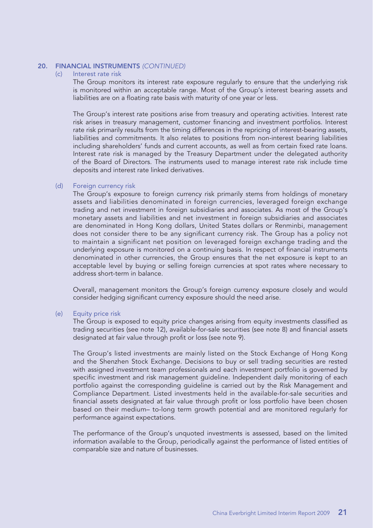## **20. FINANCIAL INSTRUMENTS** (CONTINUED)<br>(c) Interest rate risk

#### Interest rate risk

The Group monitors its interest rate exposure regularly to ensure that the underlying risk is monitored within an acceptable range. Most of the Group's interest bearing assets and liabilities are on a floating rate basis with maturity of one year or less.

The Group's interest rate positions arise from treasury and operating activities. Interest rate risk arises in treasury management, customer financing and investment portfolios. Interest rate risk primarily results from the timing differences in the repricing of interest-bearing assets, liabilities and commitments. It also relates to positions from non-interest bearing liabilities including shareholders' funds and current accounts, as well as from certain fixed rate loans. Interest rate risk is managed by the Treasury Department under the delegated authority of the Board of Directors. The instruments used to manage interest rate risk include time deposits and interest rate linked derivatives.

#### (d) Foreign currency risk

The Group's exposure to foreign currency risk primarily stems from holdings of monetary assets and liabilities denominated in foreign currencies, leveraged foreign exchange trading and net investment in foreign subsidiaries and associates. As most of the Group's monetary assets and liabilities and net investment in foreign subsidiaries and associates are denominated in Hong Kong dollars, United States dollars or Renminbi, management does not consider there to be any significant currency risk. The Group has a policy not to maintain a significant net position on leveraged foreign exchange trading and the underlying exposure is monitored on a continuing basis. In respect of financial instruments denominated in other currencies, the Group ensures that the net exposure is kept to an acceptable level by buying or selling foreign currencies at spot rates where necessary to address short-term in balance.

Overall, management monitors the Group's foreign currency exposure closely and would consider hedging significant currency exposure should the need arise.

#### (e) Equity price risk

The Group is exposed to equity price changes arising from equity investments classified as trading securities (see note 12), available-for-sale securities (see note 8) and financial assets designated at fair value through profit or loss (see note 9).

The Group's listed investments are mainly listed on the Stock Exchange of Hong Kong and the Shenzhen Stock Exchange. Decisions to buy or sell trading securities are rested with assigned investment team professionals and each investment portfolio is governed by specific investment and risk management guideline. Independent daily monitoring of each portfolio against the corresponding guideline is carried out by the Risk Management and Compliance Department. Listed investments held in the available-for-sale securities and financial assets designated at fair value through profit or loss portfolio have been chosen based on their medium– to-long term growth potential and are monitored regularly for performance against expectations.

The performance of the Group's unquoted investments is assessed, based on the limited information available to the Group, periodically against the performance of listed entities of comparable size and nature of businesses.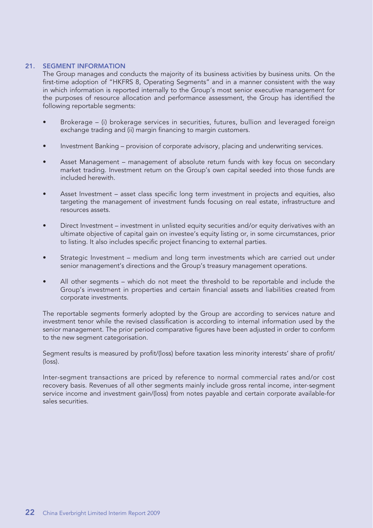#### **21. SEGMENT INFORMATION**

The Group manages and conducts the majority of its business activities by business units. On the first-time adoption of "HKFRS 8, Operating Segments" and in a manner consistent with the way in which information is reported internally to the Group's most senior executive management for the purposes of resource allocation and performance assessment, the Group has identified the following reportable segments:

- Brokerage (i) brokerage services in securities, futures, bullion and leveraged foreign exchange trading and (ii) margin financing to margin customers.
- Investment Banking provision of corporate advisory, placing and underwriting services.
- Asset Management management of absolute return funds with key focus on secondary market trading. Investment return on the Group's own capital seeded into those funds are included herewith.
- Asset Investment asset class specific long term investment in projects and equities, also targeting the management of investment funds focusing on real estate, infrastructure and resources assets.
- Direct Investment investment in unlisted equity securities and/or equity derivatives with an ultimate objective of capital gain on investee's equity listing or, in some circumstances, prior to listing. It also includes specific project financing to external parties.
- Strategic Investment medium and long term investments which are carried out under senior management's directions and the Group's treasury management operations.
- All other segments which do not meet the threshold to be reportable and include the Group's investment in properties and certain financial assets and liabilities created from corporate investments.

The reportable segments formerly adopted by the Group are according to services nature and investment tenor while the revised classification is according to internal information used by the senior management. The prior period comparative figures have been adjusted in order to conform to the new segment categorisation.

Segment results is measured by profit/(loss) before taxation less minority interests' share of profit/ (loss).

Inter-segment transactions are priced by reference to normal commercial rates and/or cost recovery basis. Revenues of all other segments mainly include gross rental income, inter-segment service income and investment gain/(loss) from notes payable and certain corporate available-for sales securities.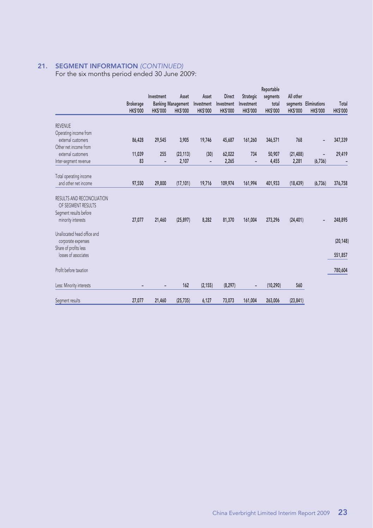#### **21. SEGMENT INFORMATION** (CONTINUED)

For the six months period ended 30 June 2009:

|                             |                |                |                           |                          |                 |                 | Reportable      |                 |                       |                 |
|-----------------------------|----------------|----------------|---------------------------|--------------------------|-----------------|-----------------|-----------------|-----------------|-----------------------|-----------------|
|                             |                | Investment     | Asset                     | Asset                    | <b>Direct</b>   | Strategic       | segments        | All other       |                       |                 |
|                             | Brokerage      |                | <b>Banking Management</b> | Investment               | Investment      | Investment      | total           |                 | segments Eliminations | Total           |
|                             | <b>HKS'000</b> | <b>HKS'000</b> | <b>HK\$'000</b>           | <b>HK\$'000</b>          | <b>HK\$'000</b> | <b>HK\$'000</b> | <b>HK\$'000</b> | <b>HK\$'000</b> | <b>HK\$'000</b>       | <b>HK\$'000</b> |
| <b>REVENUE</b>              |                |                |                           |                          |                 |                 |                 |                 |                       |                 |
| Operating income from       |                |                |                           |                          |                 |                 |                 |                 |                       |                 |
| external customers          | 86,428         | 29,545         | 3,905                     | 19,746                   | 45,687          | 161,260         | 346,571         | 768             |                       | 347,339         |
| Other net income from       |                |                |                           |                          |                 |                 |                 |                 | $\overline{a}$        |                 |
|                             |                |                |                           |                          |                 |                 |                 |                 |                       |                 |
| external customers          | 11,039         | 255            | (23, 113)                 | (30)                     | 62,022          | 734             | 50,907          | (21, 488)       |                       | 29,419          |
| Inter-segment revenue       | 83             |                | 2,107                     | $\overline{\phantom{a}}$ | 2,265           |                 | 4,455           | 2,281           | (6, 736)              |                 |
| Total operating income      |                |                |                           |                          |                 |                 |                 |                 |                       |                 |
| and other net income        | 97,550         | 29,800         | (17, 101)                 | 19,716                   | 109,974         | 161,994         | 401.933         | (18, 439)       | (6, 736)              | 376,758         |
|                             |                |                |                           |                          |                 |                 |                 |                 |                       |                 |
| RESULTS AND RECONCILIATION  |                |                |                           |                          |                 |                 |                 |                 |                       |                 |
| OF SEGMENT RESULTS          |                |                |                           |                          |                 |                 |                 |                 |                       |                 |
| Segment results before      |                |                |                           |                          |                 |                 |                 |                 |                       |                 |
| minority interests          | 27,077         | 21,460         | (25, 897)                 | 8,282                    | 81,370          | 161,004         | 273.296         | (24, 401)       |                       | 248,895         |
|                             |                |                |                           |                          |                 |                 |                 |                 |                       |                 |
| Unallocated head office and |                |                |                           |                          |                 |                 |                 |                 |                       |                 |
| corporate expenses          |                |                |                           |                          |                 |                 |                 |                 |                       | (20, 148)       |
| Share of profits less       |                |                |                           |                          |                 |                 |                 |                 |                       |                 |
| losses of associates        |                |                |                           |                          |                 |                 |                 |                 |                       | 551,857         |
|                             |                |                |                           |                          |                 |                 |                 |                 |                       |                 |
| Profit before taxation      |                |                |                           |                          |                 |                 |                 |                 |                       | 780,604         |
|                             |                |                |                           |                          |                 |                 |                 |                 |                       |                 |
| Less: Minority interests    |                | -              | 162                       | (2, 155)                 | (8, 297)        |                 | (10, 290)       | 560             |                       |                 |
|                             |                |                |                           |                          |                 |                 |                 |                 |                       |                 |
| Segment results             | 27,077         | 21,460         | (25, 735)                 | 6,127                    | 73,073          | 161,004         | 263,006         | (23, 841)       |                       |                 |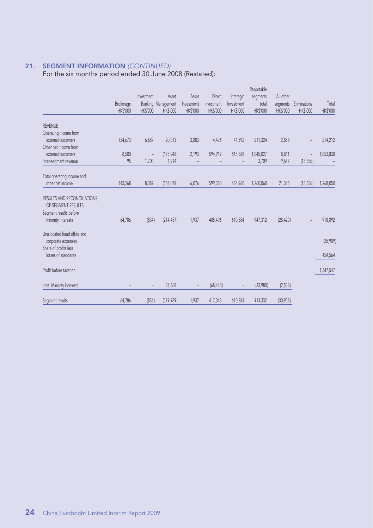#### **21. SEGMENT INFORMATION** (CONTINUED)

For the six months period ended 30 June 2008 (Restated):

|                                                   | Brokerage<br><b>HK\$'000</b> | Investment<br>HK\$'000   | Asset<br>Banking Management<br><b>HK\$'000</b> | Asset<br>Investment<br><b>HK\$'000</b> | Direct<br>Investment<br><b>HK\$'000</b> | Strategic<br>Investment<br><b>HK\$'000</b> | Reportable<br>segments<br>total<br>HK\$'000 | All other<br>segments<br>HK\$'000 | Eliminations<br>HK\$'000 | Total<br>HK\$'000 |
|---------------------------------------------------|------------------------------|--------------------------|------------------------------------------------|----------------------------------------|-----------------------------------------|--------------------------------------------|---------------------------------------------|-----------------------------------|--------------------------|-------------------|
| <b>REVENUE</b>                                    |                              |                          |                                                |                                        |                                         |                                            |                                             |                                   |                          |                   |
| Operating income from                             |                              |                          |                                                |                                        |                                         |                                            |                                             |                                   |                          |                   |
| external customers                                | 134,673                      | 6,687                    | 20,013                                         | 3,883                                  | 4,476                                   | 41,592                                     | 211,324                                     | 2.888                             |                          | 214,212           |
| Other net income from                             |                              |                          |                                                |                                        |                                         |                                            |                                             |                                   |                          |                   |
| external customers                                | 8,500                        | $\overline{\phantom{a}}$ | (175, 946)                                     | 2,193                                  | 594,912                                 | 615,368                                    | 1,045,027                                   | 8,811                             | $\overline{a}$           | 1,053,838         |
| Inter-segment revenue                             | 95                           | 1,700                    | 1,914                                          |                                        |                                         |                                            | 3,709                                       | 9,647                             | (13, 356)                |                   |
|                                                   |                              |                          |                                                |                                        |                                         |                                            |                                             |                                   |                          |                   |
| Total operating income and<br>other net income    |                              |                          |                                                |                                        |                                         |                                            |                                             |                                   |                          |                   |
|                                                   | 143,268                      | 8,387                    | (154, 019)                                     | 6,076                                  | 599,388                                 | 656,960                                    | 1,260,060                                   | 21,346                            | (13, 356)                | 1,268,050         |
| RESULTS AND RECONCILIATIONS<br>OF SEGMENT RESULTS |                              |                          |                                                |                                        |                                         |                                            |                                             |                                   |                          |                   |
| Segment results before                            |                              |                          |                                                |                                        |                                         |                                            |                                             |                                   |                          |                   |
| minority interests                                | 64,786                       | (834)                    | (214, 457)                                     | 1,937                                  | 485,496                                 | 610,384                                    | 947,312                                     | (28, 420)                         |                          | 918,892           |
| Unallocated head office and                       |                              |                          |                                                |                                        |                                         |                                            |                                             |                                   |                          |                   |
| corporate expenses                                |                              |                          |                                                |                                        |                                         |                                            |                                             |                                   |                          | (25, 909)         |
| Share of profits less                             |                              |                          |                                                |                                        |                                         |                                            |                                             |                                   |                          |                   |
| losses of associates                              |                              |                          |                                                |                                        |                                         |                                            |                                             |                                   |                          | 454,564           |
| Profit before taxation                            |                              |                          |                                                |                                        |                                         |                                            |                                             |                                   |                          | 1,347,547         |
| Less: Minority interests                          |                              | $\qquad \qquad -$        | 34,468                                         | $\overline{\phantom{a}}$               | (68, 448)                               |                                            | (33,980)                                    | (2,538)                           |                          |                   |
| Segment results                                   | 64,786                       | (834)                    | (179,989)                                      | 1,937                                  | 417,048                                 | 610,384                                    | 913,332                                     | (30, 958)                         |                          |                   |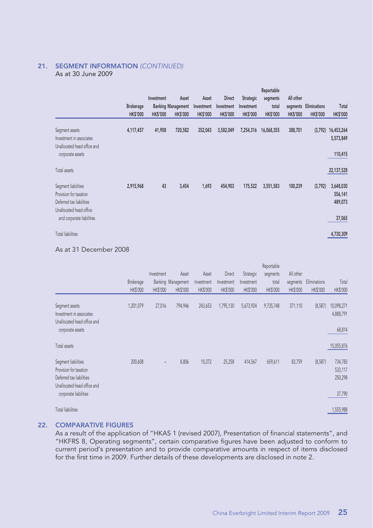#### **21. SEGMENT INFORMATION** (CONTINUED) As at 30 June 2009

|                                  |                                  |                           |                 |                 |                 | Reportable      |                 |                       |                 |
|----------------------------------|----------------------------------|---------------------------|-----------------|-----------------|-----------------|-----------------|-----------------|-----------------------|-----------------|
|                                  | Investment                       | Asset                     | Asset           | <b>Direct</b>   | Strategic       | segments        | All other       |                       |                 |
| <b>Brokerage</b>                 |                                  | <b>Banking Management</b> | Investment      | Investment      | Investment      | total           |                 | segments Eliminations | Total           |
|                                  | <b>HKS'000</b><br><b>HKS'000</b> | <b>HK\$'000</b>           | <b>HK\$'000</b> | <b>HK\$'000</b> | <b>HK\$'000</b> | <b>HK\$'000</b> | <b>HK\$'000</b> | <b>HK\$'000</b>       | <b>HK\$'000</b> |
| 4,117,457<br>Segment assets      | 41,908                           | 720,582                   | 352,043         | 3,582,049       | 7,254,316       | 16,068,355      | 388,701         | (3,792)               | 16,453,264      |
| Investment in associates         |                                  |                           |                 |                 |                 |                 |                 |                       | 5,573,849       |
| Unallocated head office and      |                                  |                           |                 |                 |                 |                 |                 |                       |                 |
| corporate assets                 |                                  |                           |                 |                 |                 |                 |                 |                       | 110,415         |
| Total assets                     |                                  |                           |                 |                 |                 |                 |                 |                       | 22,137,528      |
| 2,915,968<br>Segment liabilities | 43                               | 3,454                     | 1,693           | 454,903         | 175,522         | 3,551,583       | 100,239         | (3,792)               | 3,648,030       |
| Provision for taxation           |                                  |                           |                 |                 |                 |                 |                 |                       | 556,141         |
| Deferred tax liabilities         |                                  |                           |                 |                 |                 |                 |                 |                       | 489,073         |
| Unallocated head office          |                                  |                           |                 |                 |                 |                 |                 |                       |                 |
| and corporate liabilities        |                                  |                           |                 |                 |                 |                 |                 |                       | 37,065          |
| <b>Total liabilities</b>         |                                  |                           |                 |                 |                 |                 |                 |                       | 4,730,309       |

#### As at 31 December 2008

|                                                                                                          |                 |                   |                    |            |            |            | Reportable |           |              |                               |
|----------------------------------------------------------------------------------------------------------|-----------------|-------------------|--------------------|------------|------------|------------|------------|-----------|--------------|-------------------------------|
|                                                                                                          |                 | Investment        | Asset              | Asset      | Direct     | Strategic  | segments   | All other |              |                               |
|                                                                                                          | Brokerage       |                   | Banking Management | Investment | Investment | Investment | total      | segments  | Eliminations | Total                         |
|                                                                                                          | <b>HK\$'000</b> | <b>HK\$'000</b>   | <b>HK\$'000</b>    | HK\$'000   | HK\$'000   | HK\$'000   | HK\$'000   | HK\$'000  | HK\$'000     | HK\$'000                      |
| Segment assets<br>Investment in associates<br>Unallocated head office and                                | 1,201,079       | 27,016            | 794,946            | 243,653    | 1,795,130  | 5,673,924  | 9,735,748  | 371,110   | (8,587)      | 10,098,271<br>4,888,791       |
| corporate assets                                                                                         |                 |                   |                    |            |            |            |            |           |              | 68,814                        |
| Total assets                                                                                             |                 |                   |                    |            |            |            |            |           |              | 15,055,876                    |
| Segment liabilities<br>Provision for taxation<br>Deferred tax liabilities<br>Unallocated head office and | 200,608         | $\qquad \qquad =$ | 8,806              | 10,372     | 25,258     | 414,567    | 659,611    | 83,759    | (8,587)      | 734,783<br>533,117<br>250,298 |
| corporate liabilities                                                                                    |                 |                   |                    |            |            |            |            |           |              | 37,790                        |
| <b>Total liabilities</b>                                                                                 |                 |                   |                    |            |            |            |            |           |              | 1,555,988                     |

#### **22. COMPARATIVE FIGURES**

As a result of the application of "HKAS 1 (revised 2007), Presentation of financial statements", and "HKFRS 8, Operating segments", certain comparative figures have been adjusted to conform to current period's presentation and to provide comparative amounts in respect of items disclosed for the first time in 2009. Further details of these developments are disclosed in note 2.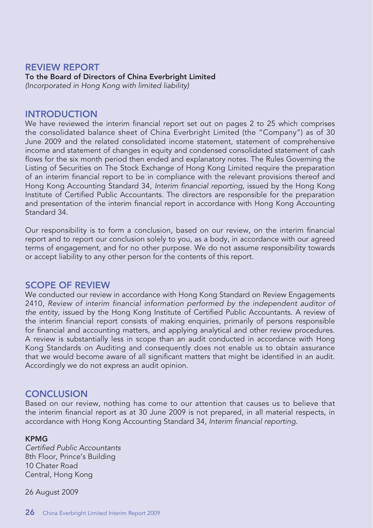### **REVIEW REPORT**

### **To the Board of Directors of China Everbright Limited**

(Incorporated in Hong Kong with limited liability)

### **INTRODUCTION**

We have reviewed the interim financial report set out on pages 2 to 25 which comprises the consolidated balance sheet of China Everbright Limited (the "Company") as of 30 June 2009 and the related consolidated income statement, statement of comprehensive income and statement of changes in equity and condensed consolidated statement of cash flows for the six month period then ended and explanatory notes. The Rules Governing the Listing of Securities on The Stock Exchange of Hong Kong Limited require the preparation of an interim financial report to be in compliance with the relevant provisions thereof and Hong Kong Accounting Standard 34, Interim financial reporting, issued by the Hong Kong Institute of Certified Public Accountants. The directors are responsible for the preparation and presentation of the interim financial report in accordance with Hong Kong Accounting Standard 34.

Our responsibility is to form a conclusion, based on our review, on the interim financial report and to report our conclusion solely to you, as a body, in accordance with our agreed terms of engagement, and for no other purpose. We do not assume responsibility towards or accept liability to any other person for the contents of this report.

### **SCOPE OF REVIEW**

We conducted our review in accordance with Hong Kong Standard on Review Engagements 2410, Review of interim financial information performed by the independent auditor of the entity, issued by the Hong Kong Institute of Certified Public Accountants. A review of the interim financial report consists of making enquiries, primarily of persons responsible for financial and accounting matters, and applying analytical and other review procedures. A review is substantially less in scope than an audit conducted in accordance with Hong Kong Standards on Auditing and consequently does not enable us to obtain assurance that we would become aware of all significant matters that might be identified in an audit. Accordingly we do not express an audit opinion.

### **CONCLUSION**

Based on our review, nothing has come to our attention that causes us to believe that the interim financial report as at 30 June 2009 is not prepared, in all material respects, in accordance with Hong Kong Accounting Standard 34, Interim financial reporting.

#### **KPMG**

Certified Public Accountants 8th Floor, Prince's Building 10 Chater Road Central, Hong Kong

26 August 2009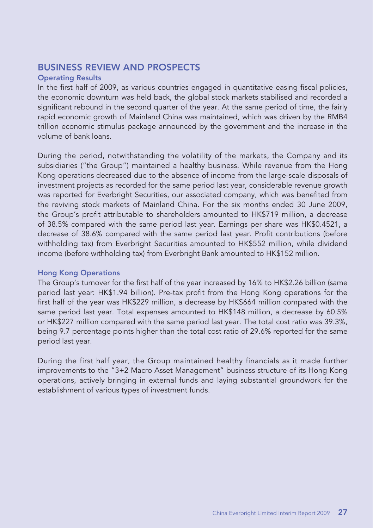### **BUSINESS REVIEW AND PROSPECTS**

### **Operating Results**

In the first half of 2009, as various countries engaged in quantitative easing fiscal policies, the economic downturn was held back, the global stock markets stabilised and recorded a significant rebound in the second quarter of the year. At the same period of time, the fairly rapid economic growth of Mainland China was maintained, which was driven by the RMB4 trillion economic stimulus package announced by the government and the increase in the volume of bank loans.

During the period, notwithstanding the volatility of the markets, the Company and its subsidiaries ("the Group") maintained a healthy business. While revenue from the Hong Kong operations decreased due to the absence of income from the large-scale disposals of investment projects as recorded for the same period last year, considerable revenue growth was reported for Everbright Securities, our associated company, which was benefited from the reviving stock markets of Mainland China. For the six months ended 30 June 2009, the Group's profit attributable to shareholders amounted to HK\$719 million, a decrease of 38.5% compared with the same period last year. Earnings per share was HK\$0.4521, a decrease of 38.6% compared with the same period last year. Profit contributions (before withholding tax) from Everbright Securities amounted to HK\$552 million, while dividend income (before withholding tax) from Everbright Bank amounted to HK\$152 million.

### **Hong Kong Operations**

The Group's turnover for the first half of the year increased by 16% to HK\$2.26 billion (same period last year: HK\$1.94 billion). Pre-tax profit from the Hong Kong operations for the first half of the year was HK\$229 million, a decrease by HK\$664 million compared with the same period last year. Total expenses amounted to HK\$148 million, a decrease by 60.5% or HK\$227 million compared with the same period last year. The total cost ratio was 39.3%, being 9.7 percentage points higher than the total cost ratio of 29.6% reported for the same period last year.

During the first half year, the Group maintained healthy financials as it made further improvements to the "3+2 Macro Asset Management" business structure of its Hong Kong operations, actively bringing in external funds and laying substantial groundwork for the establishment of various types of investment funds.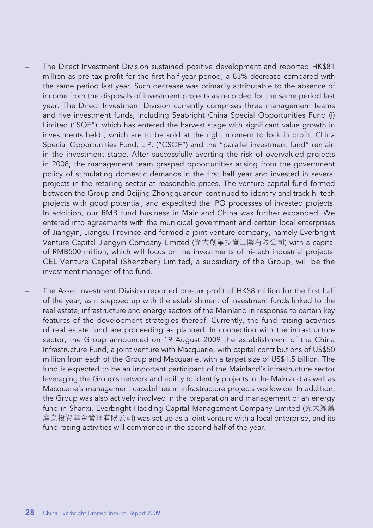- The Direct Investment Division sustained positive development and reported HK\$81 million as pre-tax profit for the first half-year period, a 83% decrease compared with the same period last year. Such decrease was primarily attributable to the absence of income from the disposals of investment projects as recorded for the same period last year. The Direct Investment Division currently comprises three management teams and five investment funds, including Seabright China Special Opportunities Fund (I) Limited ("SOF"), which has entered the harvest stage with significant value growth in investments held , which are to be sold at the right moment to lock in profit. China Special Opportunities Fund, L.P. ("CSOF") and the "parallel investment fund" remain in the investment stage. After successfully averting the risk of overvalued projects in 2008, the management team grasped opportunities arising from the government policy of stimulating domestic demands in the first half year and invested in several projects in the retailing sector at reasonable prices. The venture capital fund formed between the Group and Beijing Zhongguancun continued to identify and track hi-tech projects with good potential, and expedited the IPO processes of invested projects. In addition, our RMB fund business in Mainland China was further expanded. We entered into agreements with the municipal government and certain local enterprises of Jiangyin, Jiangsu Province and formed a joint venture company, namely Everbright Venture Capital Jiangyin Company Limited (光大創業投資江陰有限公司) with a capital of RMB500 million, which will focus on the investments of hi-tech industrial projects. CEL Venture Capital (Shenzhen) Limited, a subsidiary of the Group, will be the investment manager of the fund.
- The Asset Investment Division reported pre-tax profit of HK\$8 million for the first half of the year, as it stepped up with the establishment of investment funds linked to the real estate, infrastructure and energy sectors of the Mainland in response to certain key features of the development strategies thereof. Currently, the fund raising activities of real estate fund are proceeding as planned. In connection with the infrastructure sector, the Group announced on 19 August 2009 the establishment of the China Infrastructure Fund, a joint venture with Macquarie, with capital contributions of US\$50 million from each of the Group and Macquarie, with a target size of US\$1.5 billion. The fund is expected to be an important participant of the Mainland's infrastructure sector leveraging the Group's network and ability to identify projects in the Mainland as well as Macquarie's management capabilities in infrastructure projects worldwide. In addition, the Group was also actively involved in the preparation and management of an energy fund in Shanxi. Everbright Haoding Capital Management Company Limited (光大灝鼎 產業投資基金管理有限公司) was set up as a joint venture with a local enterprise, and its fund rasing activities will commence in the second half of the year.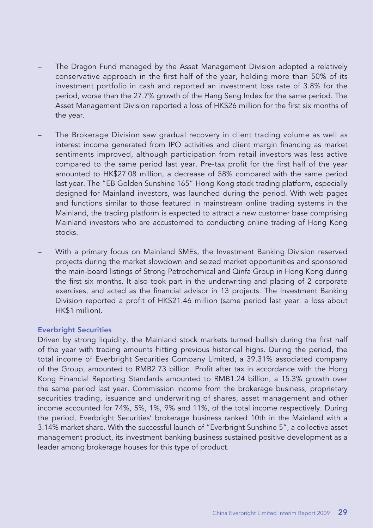- The Dragon Fund managed by the Asset Management Division adopted a relatively conservative approach in the first half of the year, holding more than 50% of its investment portfolio in cash and reported an investment loss rate of 3.8% for the period, worse than the 27.7% growth of the Hang Seng Index for the same period. The Asset Management Division reported a loss of HK\$26 million for the first six months of the year.
- The Brokerage Division saw gradual recovery in client trading volume as well as interest income generated from IPO activities and client margin financing as market sentiments improved, although participation from retail investors was less active compared to the same period last year. Pre-tax profit for the first half of the year amounted to HK\$27.08 million, a decrease of 58% compared with the same period last year. The "EB Golden Sunshine 165" Hong Kong stock trading platform, especially designed for Mainland investors, was launched during the period. With web pages and functions similar to those featured in mainstream online trading systems in the Mainland, the trading platform is expected to attract a new customer base comprising Mainland investors who are accustomed to conducting online trading of Hong Kong stocks.
- With a primary focus on Mainland SMEs, the Investment Banking Division reserved projects during the market slowdown and seized market opportunities and sponsored the main-board listings of Strong Petrochemical and Qinfa Group in Hong Kong during the first six months. It also took part in the underwriting and placing of 2 corporate exercises, and acted as the financial advisor in 13 projects. The Investment Banking Division reported a profit of HK\$21.46 million (same period last year: a loss about HK\$1 million).

#### **Everbright Securities**

Driven by strong liquidity, the Mainland stock markets turned bullish during the first half of the year with trading amounts hitting previous historical highs. During the period, the total income of Everbright Securities Company Limited, a 39.31% associated company of the Group, amounted to RMB2.73 billion. Profit after tax in accordance with the Hong Kong Financial Reporting Standards amounted to RMB1.24 billion, a 15.3% growth over the same period last year. Commission income from the brokerage business, proprietary securities trading, issuance and underwriting of shares, asset management and other income accounted for 74%, 5%, 1%, 9% and 11%, of the total income respectively. During the period, Everbright Securities' brokerage business ranked 10th in the Mainland with a 3.14% market share. With the successful launch of "Everbright Sunshine 5", a collective asset management product, its investment banking business sustained positive development as a leader among brokerage houses for this type of product.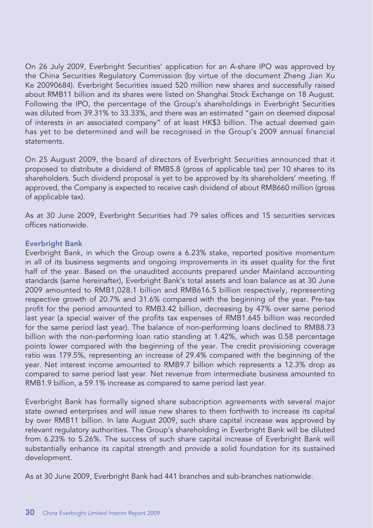On 26 July 2009, Everbright Securities' application for an A-share IPO was approved by the China Securities Regulatory Commission (by virtue of the document Zheng Jian Xu Ke 20090684). Everbright Securities issued 520 million new shares and successfully raised about RMB11 billion and its shares were listed on Shanghai Stock Exchange on 18 August. Following the IPO, the percentage of the Group's shareholdings in Everbright Securities was diluted from 39.31% to 33.33%, and there was an estimated "gain on deemed disposal of interests in an associated company" of at least HK\$3 billion. The actual deemed gain has yet to be determined and will be recognised in the Group's 2009 annual financial statements.

On 25 August 2009, the board of directors of Everbright Securities announced that it proposed to distribute a dividend of RMB5.8 (gross of applicable tax) per 10 shares to its shareholders. Such dividend proposal is yet to be approved by its shareholders' meeting. If approved, the Company is expected to receive cash dividend of about RMB660 million (gross of applicable tax).

As at 30 June 2009, Everbright Securities had 79 sales offices and 15 securities services offices nationwide.

#### **Everbright Bank**

Everbright Bank, in which the Group owns a 6.23% stake, reported positive momentum in all of its business segments and ongoing improvements in its asset quality for the first half of the year. Based on the unaudited accounts prepared under Mainland accounting standards (same hereinafter), Everbright Bank's total assets and loan balance as at 30 June 2009 amounted to RMB1,028.1 billion and RMB616.5 billion respectively, representing respective growth of 20.7% and 31.6% compared with the beginning of the year. Pre-tax profit for the period amounted to RMB3.42 billion, decreasing by 47% over same period last year (a special waiver of the profits tax expenses of RMB1.645 billion was recorded for the same period last year). The balance of non-performing loans declined to RMB8.73 billion with the non-performing loan ratio standing at 1.42%, which was 0.58 percentage points lower compared with the beginning of the year. The credit provisioning coverage ratio was 179.5%, representing an increase of 29.4% compared with the beginning of the year. Net interest income amounted to RMB9.7 billion which represents a 12.3% drop as compared to same period last year. Net revenue from intermediate business amounted to RMB1.9 billion, a 59.1% increase as compared to same period last year.

Everbright Bank has formally signed share subscription agreements with several major state owned enterprises and will issue new shares to them forthwith to increase its capital by over RMB11 billion. In late August 2009, such share capital increase was approved by relevant regulatory authorities. The Group's shareholding in Everbright Bank will be diluted from 6.23% to 5.26%. The success of such share capital increase of Everbright Bank will substantially enhance its capital strength and provide a solid foundation for its sustained development.

As at 30 June 2009, Everbright Bank had 441 branches and sub-branches nationwide.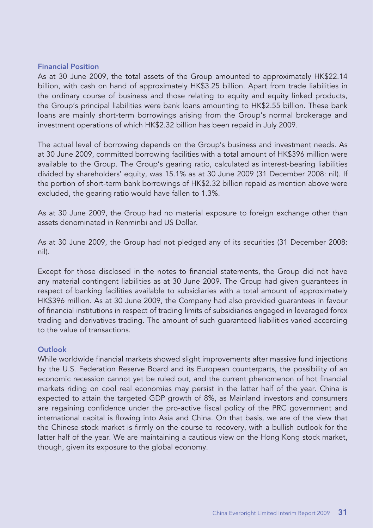#### **Financial Position**

As at 30 June 2009, the total assets of the Group amounted to approximately HK\$22.14 billion, with cash on hand of approximately HK\$3.25 billion. Apart from trade liabilities in the ordinary course of business and those relating to equity and equity linked products, the Group's principal liabilities were bank loans amounting to HK\$2.55 billion. These bank loans are mainly short-term borrowings arising from the Group's normal brokerage and investment operations of which HK\$2.32 billion has been repaid in July 2009.

The actual level of borrowing depends on the Group's business and investment needs. As at 30 June 2009, committed borrowing facilities with a total amount of HK\$396 million were available to the Group. The Group's gearing ratio, calculated as interest-bearing liabilities divided by shareholders' equity, was 15.1% as at 30 June 2009 (31 December 2008: nil). If the portion of short-term bank borrowings of HK\$2.32 billion repaid as mention above were excluded, the gearing ratio would have fallen to 1.3%.

As at 30 June 2009, the Group had no material exposure to foreign exchange other than assets denominated in Renminbi and US Dollar.

As at 30 June 2009, the Group had not pledged any of its securities (31 December 2008: nil).

Except for those disclosed in the notes to financial statements, the Group did not have any material contingent liabilities as at 30 June 2009. The Group had given guarantees in respect of banking facilities available to subsidiaries with a total amount of approximately HK\$396 million. As at 30 June 2009, the Company had also provided guarantees in favour of financial institutions in respect of trading limits of subsidiaries engaged in leveraged forex trading and derivatives trading. The amount of such guaranteed liabilities varied according to the value of transactions.

### **Outlook**

While worldwide financial markets showed slight improvements after massive fund injections by the U.S. Federation Reserve Board and its European counterparts, the possibility of an economic recession cannot yet be ruled out, and the current phenomenon of hot financial markets riding on cool real economies may persist in the latter half of the year. China is expected to attain the targeted GDP growth of 8%, as Mainland investors and consumers are regaining confidence under the pro-active fiscal policy of the PRC government and international capital is flowing into Asia and China. On that basis, we are of the view that the Chinese stock market is firmly on the course to recovery, with a bullish outlook for the latter half of the year. We are maintaining a cautious view on the Hong Kong stock market, though, given its exposure to the global economy.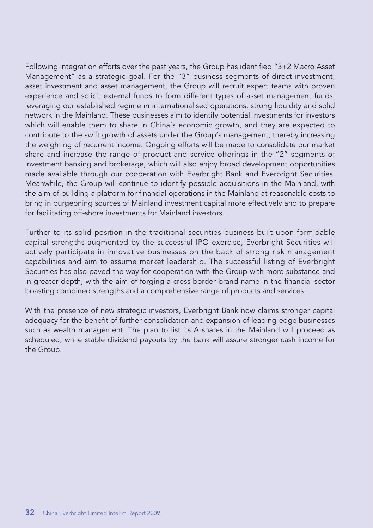Following integration efforts over the past years, the Group has identified "3+2 Macro Asset Management" as a strategic goal. For the "3" business segments of direct investment, asset investment and asset management, the Group will recruit expert teams with proven experience and solicit external funds to form different types of asset management funds, leveraging our established regime in internationalised operations, strong liquidity and solid network in the Mainland. These businesses aim to identify potential investments for investors which will enable them to share in China's economic growth, and they are expected to contribute to the swift growth of assets under the Group's management, thereby increasing the weighting of recurrent income. Ongoing efforts will be made to consolidate our market share and increase the range of product and service offerings in the "2" segments of investment banking and brokerage, which will also enjoy broad development opportunities made available through our cooperation with Everbright Bank and Everbright Securities. Meanwhile, the Group will continue to identify possible acquisitions in the Mainland, with the aim of building a platform for financial operations in the Mainland at reasonable costs to bring in burgeoning sources of Mainland investment capital more effectively and to prepare for facilitating off-shore investments for Mainland investors.

Further to its solid position in the traditional securities business built upon formidable capital strengths augmented by the successful IPO exercise, Everbright Securities will actively participate in innovative businesses on the back of strong risk management capabilities and aim to assume market leadership. The successful listing of Everbright Securities has also paved the way for cooperation with the Group with more substance and in greater depth, with the aim of forging a cross-border brand name in the financial sector boasting combined strengths and a comprehensive range of products and services.

With the presence of new strategic investors, Everbright Bank now claims stronger capital adequacy for the benefit of further consolidation and expansion of leading-edge businesses such as wealth management. The plan to list its A shares in the Mainland will proceed as scheduled, while stable dividend payouts by the bank will assure stronger cash income for the Group.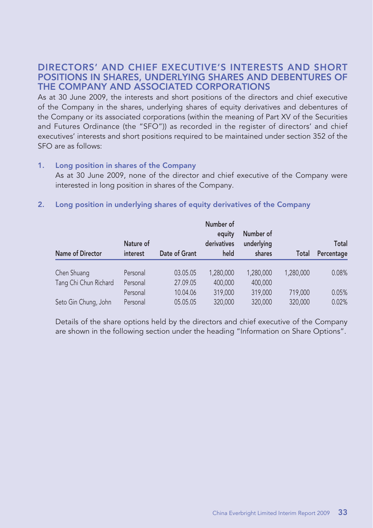### **DIRECTORS' AND CHIEF EXECUTIVE'S INTERESTS AND SHORT POSITIONS IN SHARES, UNDERLYING SHARES AND DEBENTURES OF THE COMPANY AND ASSOCIATED CORPORATIONS**

As at 30 June 2009, the interests and short positions of the directors and chief executive of the Company in the shares, underlying shares of equity derivatives and debentures of the Company or its associated corporations (within the meaning of Part XV of the Securities and Futures Ordinance (the "SFO")) as recorded in the register of directors' and chief executives' interests and short positions required to be maintained under section 352 of the SFO are as follows:

#### **1. Long position in shares of the Company**

As at 30 June 2009, none of the director and chief executive of the Company were interested in long position in shares of the Company.

#### **2. Long position in underlying shares of equity derivatives of the Company**

|                       | Nature of |               | Number of<br>equity<br>derivatives | Number of<br>underlying |           | Total      |
|-----------------------|-----------|---------------|------------------------------------|-------------------------|-----------|------------|
| Name of Director      | interest  | Date of Grant | held                               | shares                  | Total     | Percentage |
| Chen Shuang           | Personal  | 03.05.05      | 1,280,000                          | 1.280.000               | 1.280.000 | 0.08%      |
| Tang Chi Chun Richard | Personal  | 27.09.05      | 400,000                            | 400,000                 |           |            |
|                       | Personal  | 10.04.06      | 319,000                            | 319,000                 | 719,000   | 0.05%      |
| Seto Gin Chung, John  | Personal  | 05.05.05      | 320,000                            | 320,000                 | 320,000   | 0.02%      |

Details of the share options held by the directors and chief executive of the Company are shown in the following section under the heading "Information on Share Options".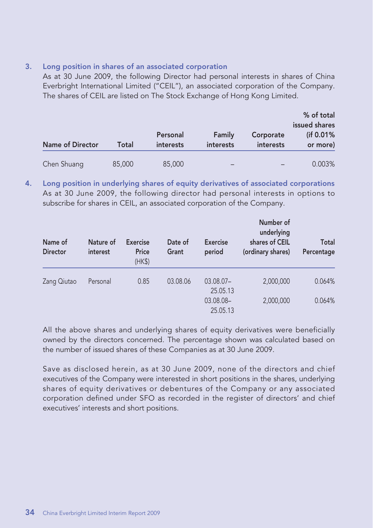#### **3. Long position in shares of an associated corporation**

As at 30 June 2009, the following Director had personal interests in shares of China Everbright International Limited ("CEIL"), an associated corporation of the Company. The shares of CEIL are listed on The Stock Exchange of Hong Kong Limited.

|                         |        | Personal         | Family    | Corporate        | % of total<br>issued shares<br>(if 0.01%) |
|-------------------------|--------|------------------|-----------|------------------|-------------------------------------------|
| <b>Name of Director</b> | Total  | <i>interests</i> | interests | <b>interests</b> | or more)                                  |
| Chen Shuang             | 85,000 | 85,000           | -         |                  | 0.003%                                    |

**4. Long position in underlying shares of equity derivatives of associated corporations** As at 30 June 2009, the following director had personal interests in options to subscribe for shares in CEIL, an associated corporation of the Company.

| Name of<br><b>Director</b> | Nature of<br>interest | <b>Exercise</b><br>Price<br>(HK\$) | Date of<br>Grant | <b>Exercise</b><br>period | Number of<br>underlying<br>shares of CEIL<br>(ordinary shares) | Total<br>Percentage |
|----------------------------|-----------------------|------------------------------------|------------------|---------------------------|----------------------------------------------------------------|---------------------|
| Zang Qiutao                | Personal              | 0.85                               | 03.08.06         | $03.08.07 -$<br>25.05.13  | 2,000,000                                                      | 0.064%              |
|                            |                       |                                    |                  | 03.08.08-<br>25.05.13     | 2,000,000                                                      | 0.064%              |

All the above shares and underlying shares of equity derivatives were beneficially owned by the directors concerned. The percentage shown was calculated based on the number of issued shares of these Companies as at 30 June 2009.

Save as disclosed herein, as at 30 June 2009, none of the directors and chief executives of the Company were interested in short positions in the shares, underlying shares of equity derivatives or debentures of the Company or any associated corporation defined under SFO as recorded in the register of directors' and chief executives' interests and short positions.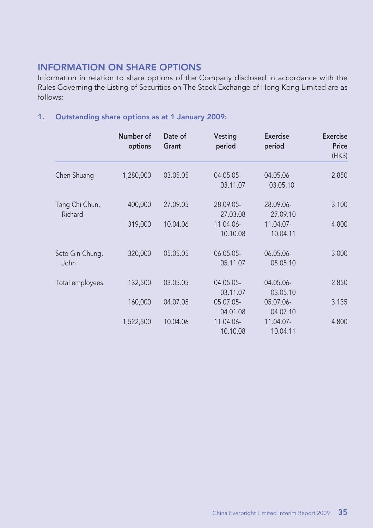### **INFORMATION ON SHARE OPTIONS**

Information in relation to share options of the Company disclosed in accordance with the Rules Governing the Listing of Securities on The Stock Exchange of Hong Kong Limited are as follows:

### **1. Outstanding share options as at 1 January 2009:**

|                           | Number of<br>options | Date of<br>Grant | Vesting<br>period     | <b>Exercise</b><br>period | <b>Exercise</b><br>Price<br>(HK\$) |
|---------------------------|----------------------|------------------|-----------------------|---------------------------|------------------------------------|
| Chen Shuang               | 1,280,000            | 03.05.05         | 04.05.05-<br>03.11.07 | 04.05.06-<br>03.05.10     | 2.850                              |
| Tang Chi Chun,<br>Richard | 400,000              | 27.09.05         | 28.09.05-<br>27.03.08 | 28.09.06-<br>27.09.10     | 3.100                              |
|                           | 319,000              | 10.04.06         | 11.04.06-<br>10.10.08 | 11.04.07-<br>10.04.11     | 4.800                              |
| Seto Gin Chung,<br>John   | 320,000              | 05.05.05         | 06.05.05-<br>05.11.07 | 06.05.06-<br>05.05.10     | 3.000                              |
| Total employees           | 132,500              | 03.05.05         | 04.05.05-<br>03.11.07 | 04.05.06-<br>03.05.10     | 2.850                              |
|                           | 160,000              | 04.07.05         | 05.07.05-<br>04.01.08 | 05.07.06-<br>04.07.10     | 3.135                              |
|                           | 1,522,500            | 10.04.06         | 11.04.06-<br>10.10.08 | 11.04.07-<br>10.04.11     | 4.800                              |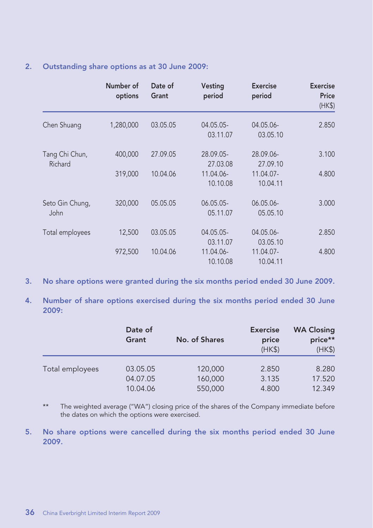### **2. Outstanding share options as at 30 June 2009:**

|                           | Number of<br>options | Date of<br>Grant | Vesting<br>period     | <b>Exercise</b><br>period | <b>Exercise</b><br>Price<br>(HK\$) |
|---------------------------|----------------------|------------------|-----------------------|---------------------------|------------------------------------|
| Chen Shuang               | 1,280,000            | 03.05.05         | 04.05.05-<br>03.11.07 | 04.05.06-<br>03.05.10     | 2.850                              |
| Tang Chi Chun,<br>Richard | 400,000              | 27.09.05         | 28.09.05-<br>27.03.08 | 28.09.06-<br>27.09.10     | 3.100                              |
|                           | 319,000              | 10.04.06         | 11.04.06-<br>10.10.08 | 11.04.07-<br>10.04.11     | 4.800                              |
| Seto Gin Chung,<br>John   | 320,000              | 05.05.05         | 06.05.05-<br>05.11.07 | 06.05.06-<br>05.05.10     | 3.000                              |
| Total employees           | 12,500               | 03.05.05         | 04.05.05-<br>03.11.07 | 04.05.06-<br>03.05.10     | 2.850                              |
|                           | 972,500              | 10.04.06         | 11.04.06-<br>10.10.08 | 11.04.07-<br>10.04.11     | 4.800                              |

- **3. No share options were granted during the six months period ended 30 June 2009.**
- **4. Number of share options exercised during the six months period ended 30 June 2009:**

|                 | Date of<br>Grant | No. of Shares | <b>Exercise</b><br>price<br>(HK\$) | <b>WA Closing</b><br>price**<br>(HK\$) |
|-----------------|------------------|---------------|------------------------------------|----------------------------------------|
| Total employees | 03.05.05         | 120,000       | 2.850                              | 8.280                                  |
|                 | 04.07.05         | 160,000       | 3.135                              | 17.520                                 |
|                 | 10.04.06         | 550,000       | 4.800                              | 12.349                                 |

- \*\* The weighted average ("WA") closing price of the shares of the Company immediate before the dates on which the options were exercised.
- **5. No share options were cancelled during the six months period ended 30 June 2009.**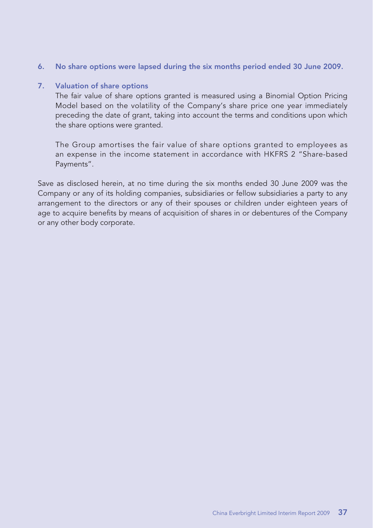**6. No share options were lapsed during the six months period ended 30 June 2009.**

### **7. Valuation of share options**

The fair value of share options granted is measured using a Binomial Option Pricing Model based on the volatility of the Company's share price one year immediately preceding the date of grant, taking into account the terms and conditions upon which the share options were granted.

The Group amortises the fair value of share options granted to employees as an expense in the income statement in accordance with HKFRS 2 "Share-based Payments".

Save as disclosed herein, at no time during the six months ended 30 June 2009 was the Company or any of its holding companies, subsidiaries or fellow subsidiaries a party to any arrangement to the directors or any of their spouses or children under eighteen years of age to acquire benefits by means of acquisition of shares in or debentures of the Company or any other body corporate.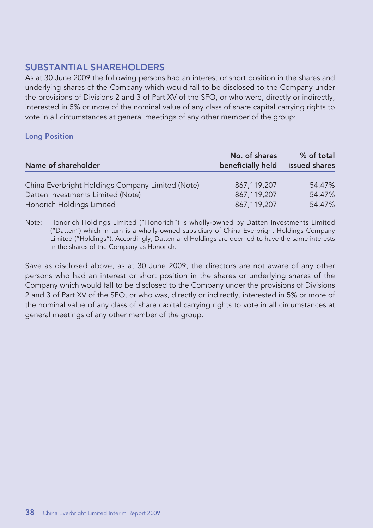### **SUBSTANTIAL SHAREHOLDERS**

As at 30 June 2009 the following persons had an interest or short position in the shares and underlying shares of the Company which would fall to be disclosed to the Company under the provisions of Divisions 2 and 3 of Part XV of the SFO, or who were, directly or indirectly, interested in 5% or more of the nominal value of any class of share capital carrying rights to vote in all circumstances at general meetings of any other member of the group:

### **Long Position**

| Name of shareholder                              | No. of shares<br>beneficially held | % of total<br>issued shares |
|--------------------------------------------------|------------------------------------|-----------------------------|
| China Everbright Holdings Company Limited (Note) | 867,119,207                        | 54.47%                      |
| Datten Investments Limited (Note)                | 867.119.207                        | 54.47%                      |
| Honorich Holdings Limited                        | 867,119,207                        | 54.47%                      |

Note: Honorich Holdings Limited ("Honorich") is wholly-owned by Datten Investments Limited ("Datten") which in turn is a wholly-owned subsidiary of China Everbright Holdings Company Limited ("Holdings"). Accordingly, Datten and Holdings are deemed to have the same interests in the shares of the Company as Honorich.

Save as disclosed above, as at 30 June 2009, the directors are not aware of any other persons who had an interest or short position in the shares or underlying shares of the Company which would fall to be disclosed to the Company under the provisions of Divisions 2 and 3 of Part XV of the SFO, or who was, directly or indirectly, interested in 5% or more of the nominal value of any class of share capital carrying rights to vote in all circumstances at general meetings of any other member of the group.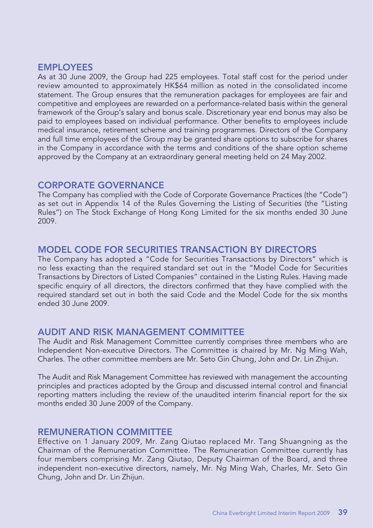### **EMPLOYEES**

As at 30 June 2009, the Group had 225 employees. Total staff cost for the period under review amounted to approximately HK\$64 million as noted in the consolidated income statement. The Group ensures that the remuneration packages for employees are fair and competitive and employees are rewarded on a performance-related basis within the general framework of the Group's salary and bonus scale. Discretionary year end bonus may also be paid to employees based on individual performance. Other benefits to employees include medical insurance, retirement scheme and training programmes. Directors of the Company and full time employees of the Group may be granted share options to subscribe for shares in the Company in accordance with the terms and conditions of the share option scheme approved by the Company at an extraordinary general meeting held on 24 May 2002.

### **CORPORATE GOVERNANCE**

The Company has complied with the Code of Corporate Governance Practices (the "Code") as set out in Appendix 14 of the Rules Governing the Listing of Securities (the "Listing Rules") on The Stock Exchange of Hong Kong Limited for the six months ended 30 June 2009.

### **MODEL CODE FOR SECURITIES TRANSACTION BY DIRECTORS**

The Company has adopted a "Code for Securities Transactions by Directors" which is no less exacting than the required standard set out in the "Model Code for Securities Transactions by Directors of Listed Companies" contained in the Listing Rules. Having made specific enquiry of all directors, the directors confirmed that they have complied with the required standard set out in both the said Code and the Model Code for the six months ended 30 June 2009.

### **AUDIT AND RISK MANAGEMENT COMMITTEE**

The Audit and Risk Management Committee currently comprises three members who are Independent Non-executive Directors. The Committee is chaired by Mr. Ng Ming Wah, Charles. The other committee members are Mr. Seto Gin Chung, John and Dr. Lin Zhijun.

The Audit and Risk Management Committee has reviewed with management the accounting principles and practices adopted by the Group and discussed internal control and financial reporting matters including the review of the unaudited interim financial report for the six months ended 30 June 2009 of the Company.

### **REMUNERATION COMMITTEE**

Effective on 1 January 2009, Mr. Zang Qiutao replaced Mr. Tang Shuangning as the Chairman of the Remuneration Committee. The Remuneration Committee currently has four members comprising Mr. Zang Qiutao, Deputy Chairman of the Board, and three independent non-executive directors, namely, Mr. Ng Ming Wah, Charles, Mr. Seto Gin Chung, John and Dr. Lin Zhijun.